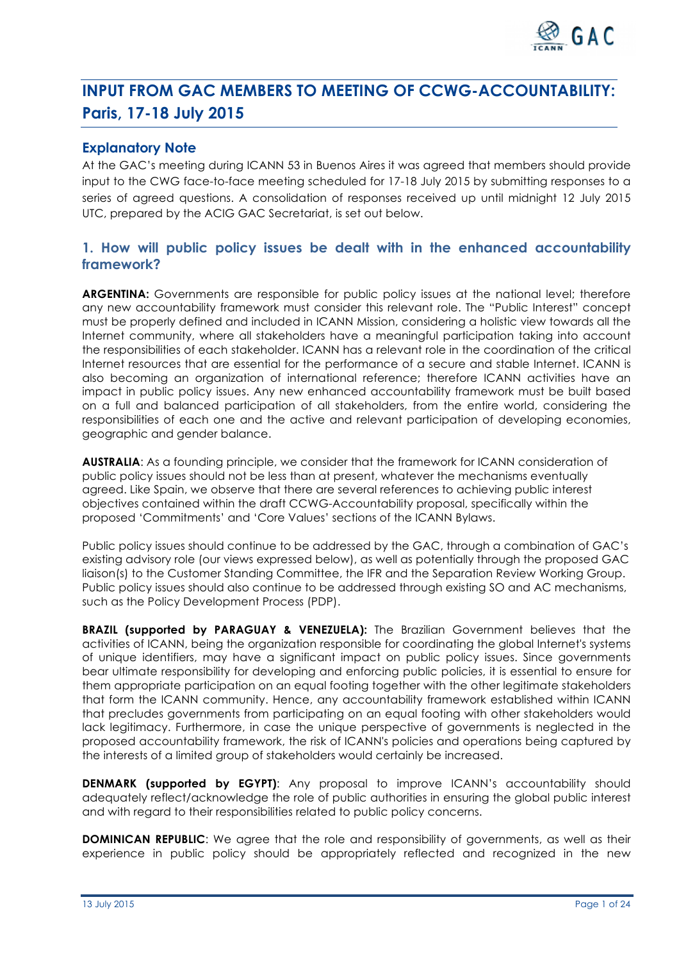

# **INPUT FROM GAC MEMBERS TO MEETING OF CCWG-ACCOUNTABILITY: Paris, 17-18 July 2015**

# **Explanatory Note**

At the GAC's meeting during ICANN 53 in Buenos Aires it was agreed that members should provide input to the CWG face-to-face meeting scheduled for 17-18 July 2015 by submitting responses to a series of agreed questions. A consolidation of responses received up until midnight 12 July 2015 UTC, prepared by the ACIG GAC Secretariat, is set out below.

# **1. How will public policy issues be dealt with in the enhanced accountability framework?**

**ARGENTINA:** Governments are responsible for public policy issues at the national level; therefore any new accountability framework must consider this relevant role. The "Public Interest" concept must be properly defined and included in ICANN Mission, considering a holistic view towards all the Internet community, where all stakeholders have a meaningful participation taking into account the responsibilities of each stakeholder. ICANN has a relevant role in the coordination of the critical Internet resources that are essential for the performance of a secure and stable Internet. ICANN is also becoming an organization of international reference; therefore ICANN activities have an impact in public policy issues. Any new enhanced accountability framework must be built based on a full and balanced participation of all stakeholders, from the entire world, considering the responsibilities of each one and the active and relevant participation of developing economies, geographic and gender balance.

**AUSTRALIA**: As a founding principle, we consider that the framework for ICANN consideration of public policy issues should not be less than at present, whatever the mechanisms eventually agreed. Like Spain, we observe that there are several references to achieving public interest objectives contained within the draft CCWG-Accountability proposal, specifically within the proposed 'Commitments' and 'Core Values' sections of the ICANN Bylaws.

Public policy issues should continue to be addressed by the GAC, through a combination of GAC's existing advisory role (our views expressed below), as well as potentially through the proposed GAC liaison(s) to the Customer Standing Committee, the IFR and the Separation Review Working Group. Public policy issues should also continue to be addressed through existing SO and AC mechanisms, such as the Policy Development Process (PDP).

**BRAZIL (supported by PARAGUAY & VENEZUELA):** The Brazilian Government believes that the activities of ICANN, being the organization responsible for coordinating the global Internet's systems of unique identifiers, may have a significant impact on public policy issues. Since governments bear ultimate responsibility for developing and enforcing public policies, it is essential to ensure for them appropriate participation on an equal footing together with the other legitimate stakeholders that form the ICANN community. Hence, any accountability framework established within ICANN that precludes governments from participating on an equal footing with other stakeholders would lack legitimacy. Furthermore, in case the unique perspective of governments is neglected in the proposed accountability framework, the risk of ICANN's policies and operations being captured by the interests of a limited group of stakeholders would certainly be increased.

**DENMARK (supported by EGYPT)**: Any proposal to improve ICANN's accountability should adequately reflect/acknowledge the role of public authorities in ensuring the global public interest and with regard to their responsibilities related to public policy concerns.

**DOMINICAN REPUBLIC:** We agree that the role and responsibility of governments, as well as their experience in public policy should be appropriately reflected and recognized in the new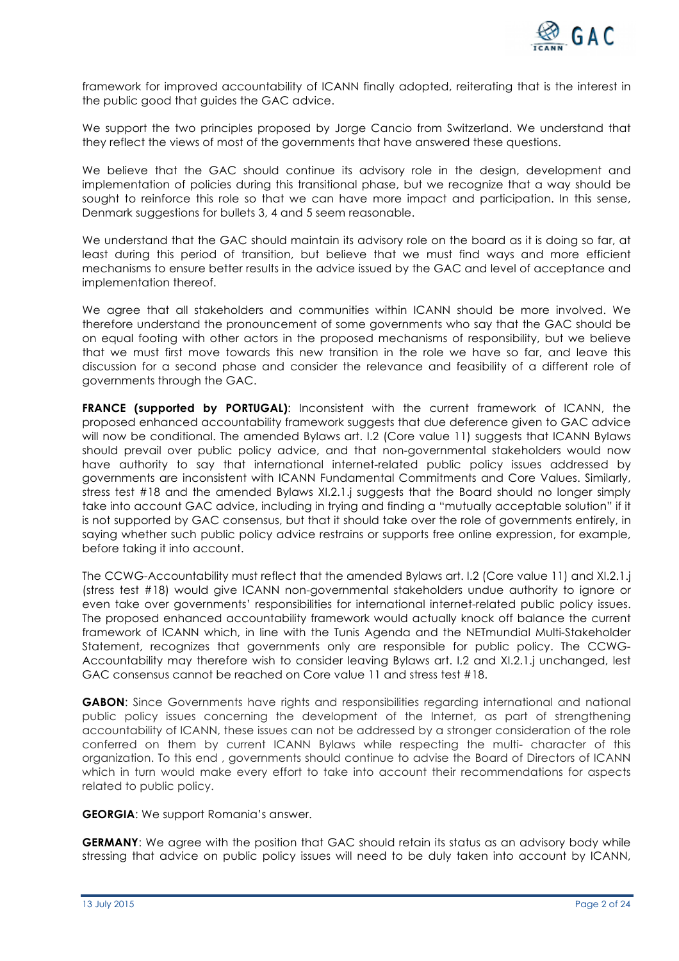

framework for improved accountability of ICANN finally adopted, reiterating that is the interest in the public good that guides the GAC advice.

We support the two principles proposed by Jorge Cancio from Switzerland. We understand that they reflect the views of most of the governments that have answered these questions.

We believe that the GAC should continue its advisory role in the design, development and implementation of policies during this transitional phase, but we recognize that a way should be sought to reinforce this role so that we can have more impact and participation. In this sense, Denmark suggestions for bullets 3, 4 and 5 seem reasonable.

We understand that the GAC should maintain its advisory role on the board as it is doing so far, at least during this period of transition, but believe that we must find ways and more efficient mechanisms to ensure better results in the advice issued by the GAC and level of acceptance and implementation thereof.

We agree that all stakeholders and communities within ICANN should be more involved. We therefore understand the pronouncement of some governments who say that the GAC should be on equal footing with other actors in the proposed mechanisms of responsibility, but we believe that we must first move towards this new transition in the role we have so far, and leave this discussion for a second phase and consider the relevance and feasibility of a different role of governments through the GAC.

**FRANCE (supported by PORTUGAL)**: Inconsistent with the current framework of ICANN, the proposed enhanced accountability framework suggests that due deference given to GAC advice will now be conditional. The amended Bylaws art. I.2 (Core value 11) suggests that ICANN Bylaws should prevail over public policy advice, and that non-governmental stakeholders would now have authority to say that international internet-related public policy issues addressed by governments are inconsistent with ICANN Fundamental Commitments and Core Values. Similarly, stress test #18 and the amended Bylaws XI.2.1.j suggests that the Board should no longer simply take into account GAC advice, including in trying and finding a "mutually acceptable solution" if it is not supported by GAC consensus, but that it should take over the role of governments entirely, in saying whether such public policy advice restrains or supports free online expression, for example, before taking it into account.

The CCWG-Accountability must reflect that the amended Bylaws art. I.2 (Core value 11) and XI.2.1.j (stress test #18) would give ICANN non-governmental stakeholders undue authority to ignore or even take over governments' responsibilities for international internet-related public policy issues. The proposed enhanced accountability framework would actually knock off balance the current framework of ICANN which, in line with the Tunis Agenda and the NETmundial Multi-Stakeholder Statement, recognizes that governments only are responsible for public policy. The CCWG-Accountability may therefore wish to consider leaving Bylaws art. I.2 and XI.2.1.j unchanged, lest GAC consensus cannot be reached on Core value 11 and stress test #18.

**GABON**: Since Governments have rights and responsibilities regarding international and national public policy issues concerning the development of the Internet, as part of strengthening accountability of ICANN, these issues can not be addressed by a stronger consideration of the role conferred on them by current ICANN Bylaws while respecting the multi- character of this organization. To this end , governments should continue to advise the Board of Directors of ICANN which in turn would make every effort to take into account their recommendations for aspects related to public policy.

**GEORGIA**: We support Romania's answer.

**GERMANY:** We agree with the position that GAC should retain its status as an advisory body while stressing that advice on public policy issues will need to be duly taken into account by ICANN,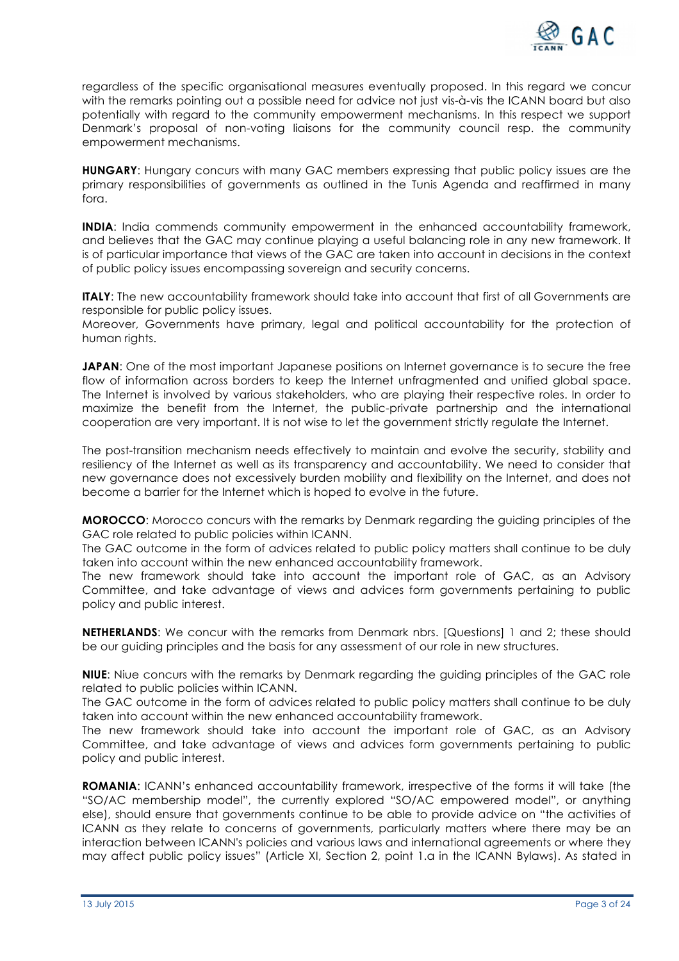

regardless of the specific organisational measures eventually proposed. In this regard we concur with the remarks pointing out a possible need for advice not just vis-à-vis the ICANN board but also potentially with regard to the community empowerment mechanisms. In this respect we support Denmark's proposal of non-voting liaisons for the community council resp. the community empowerment mechanisms.

**HUNGARY**: Hungary concurs with many GAC members expressing that public policy issues are the primary responsibilities of governments as outlined in the Tunis Agenda and reaffirmed in many fora.

**INDIA**: India commends community empowerment in the enhanced accountability framework, and believes that the GAC may continue playing a useful balancing role in any new framework. It is of particular importance that views of the GAC are taken into account in decisions in the context of public policy issues encompassing sovereign and security concerns.

**ITALY:** The new accountability framework should take into account that first of all Governments are responsible for public policy issues.

Moreover, Governments have primary, legal and political accountability for the protection of human riahts.

**JAPAN:** One of the most important Japanese positions on Internet governance is to secure the free flow of information across borders to keep the Internet unfragmented and unified global space. The Internet is involved by various stakeholders, who are playing their respective roles. In order to maximize the benefit from the Internet, the public-private partnership and the international cooperation are very important. It is not wise to let the government strictly regulate the Internet.

The post-transition mechanism needs effectively to maintain and evolve the security, stability and resiliency of the Internet as well as its transparency and accountability. We need to consider that new governance does not excessively burden mobility and flexibility on the Internet, and does not become a barrier for the Internet which is hoped to evolve in the future.

**MOROCCO**: Morocco concurs with the remarks by Denmark regarding the guiding principles of the GAC role related to public policies within ICANN.

The GAC outcome in the form of advices related to public policy matters shall continue to be duly taken into account within the new enhanced accountability framework.

The new framework should take into account the important role of GAC, as an Advisory Committee, and take advantage of views and advices form governments pertaining to public policy and public interest.

**NETHERLANDS:** We concur with the remarks from Denmark nbrs. [Questions] 1 and 2; these should be our guiding principles and the basis for any assessment of our role in new structures.

**NIUE**: Niue concurs with the remarks by Denmark regarding the guiding principles of the GAC role related to public policies within ICANN.

The GAC outcome in the form of advices related to public policy matters shall continue to be duly taken into account within the new enhanced accountability framework.

The new framework should take into account the important role of GAC, as an Advisory Committee, and take advantage of views and advices form governments pertaining to public policy and public interest.

**ROMANIA**: ICANN's enhanced accountability framework, irrespective of the forms it will take (the "SO/AC membership model", the currently explored "SO/AC empowered model", or anything else), should ensure that governments continue to be able to provide advice on "the activities of ICANN as they relate to concerns of governments, particularly matters where there may be an interaction between ICANN's policies and various laws and international agreements or where they may affect public policy issues" (Article XI, Section 2, point 1.a in the ICANN Bylaws). As stated in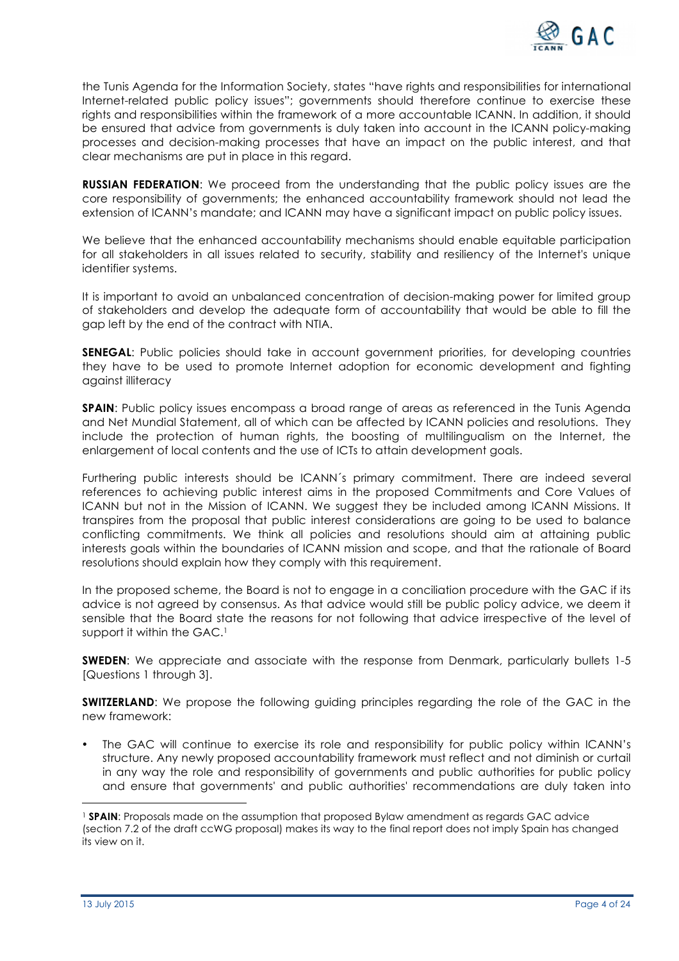

the Tunis Agenda for the Information Society, states "have rights and responsibilities for international Internet-related public policy issues"; governments should therefore continue to exercise these rights and responsibilities within the framework of a more accountable ICANN. In addition, it should be ensured that advice from governments is duly taken into account in the ICANN policy-making processes and decision-making processes that have an impact on the public interest, and that clear mechanisms are put in place in this regard.

**RUSSIAN FEDERATION:** We proceed from the understanding that the public policy issues are the core responsibility of governments; the enhanced accountability framework should not lead the extension of ICANN's mandate; and ICANN may have a significant impact on public policy issues.

We believe that the enhanced accountability mechanisms should enable equitable participation for all stakeholders in all issues related to security, stability and resiliency of the Internet's unique identifier systems.

It is important to avoid an unbalanced concentration of decision-making power for limited group of stakeholders and develop the adequate form of accountability that would be able to fill the gap left by the end of the contract with NTIA.

**SENEGAL:** Public policies should take in account government priorities, for developing countries they have to be used to promote Internet adoption for economic development and fighting against illiteracy

**SPAIN:** Public policy issues encompass a broad range of areas as referenced in the Tunis Agenda and Net Mundial Statement, all of which can be affected by ICANN policies and resolutions. They include the protection of human rights, the boosting of multilingualism on the Internet, the enlargement of local contents and the use of ICTs to attain development goals.

Furthering public interests should be ICANN´s primary commitment. There are indeed several references to achieving public interest aims in the proposed Commitments and Core Values of ICANN but not in the Mission of ICANN. We suggest they be included among ICANN Missions. It transpires from the proposal that public interest considerations are going to be used to balance conflicting commitments. We think all policies and resolutions should aim at attaining public interests goals within the boundaries of ICANN mission and scope, and that the rationale of Board resolutions should explain how they comply with this requirement.

In the proposed scheme, the Board is not to engage in a conciliation procedure with the GAC if its advice is not agreed by consensus. As that advice would still be public policy advice, we deem it sensible that the Board state the reasons for not following that advice irrespective of the level of support it within the GAC.<sup>1</sup>

**SWEDEN:** We appreciate and associate with the response from Denmark, particularly bullets 1-5 [Questions 1 through 3].

**SWITZERLAND:** We propose the following guiding principles regarding the role of the GAC in the new framework:

• The GAC will continue to exercise its role and responsibility for public policy within ICANN's structure. Any newly proposed accountability framework must reflect and not diminish or curtail in any way the role and responsibility of governments and public authorities for public policy and ensure that governments' and public authorities' recommendations are duly taken into

 

<sup>1</sup> **SPAIN**: Proposals made on the assumption that proposed Bylaw amendment as regards GAC advice (section 7.2 of the draft ccWG proposal) makes its way to the final report does not imply Spain has changed its view on it.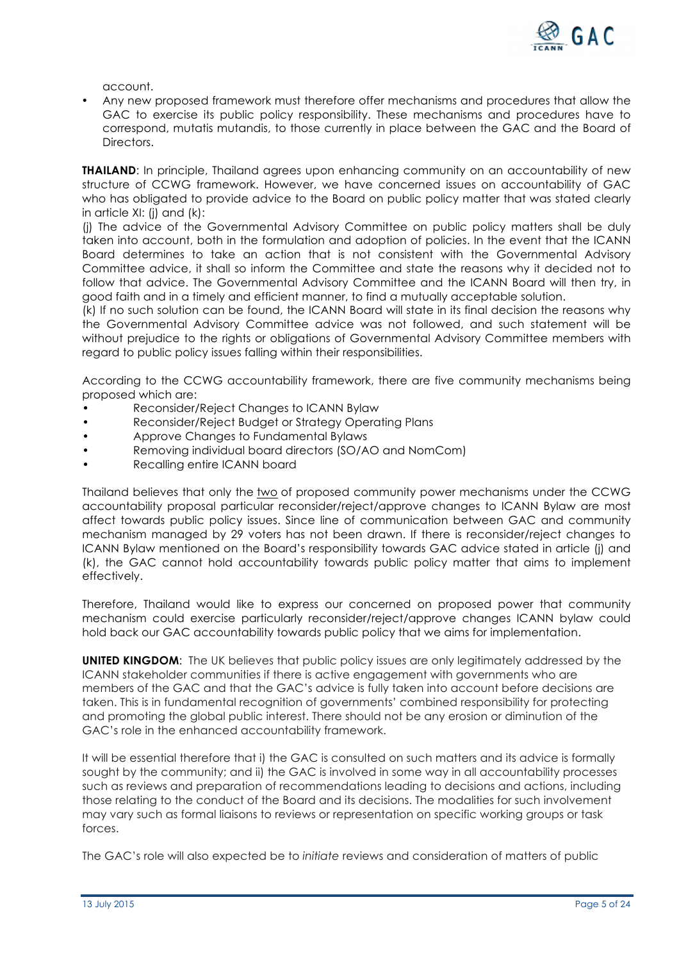

account.

• Any new proposed framework must therefore offer mechanisms and procedures that allow the GAC to exercise its public policy responsibility. These mechanisms and procedures have to correspond, mutatis mutandis, to those currently in place between the GAC and the Board of Directors.

**THAILAND:** In principle, Thailand agrees upon enhancing community on an accountability of new structure of CCWG framework. However, we have concerned issues on accountability of GAC who has obligated to provide advice to the Board on public policy matter that was stated clearly in article XI: (j) and (k):

(j) The advice of the Governmental Advisory Committee on public policy matters shall be duly taken into account, both in the formulation and adoption of policies. In the event that the ICANN Board determines to take an action that is not consistent with the Governmental Advisory Committee advice, it shall so inform the Committee and state the reasons why it decided not to follow that advice. The Governmental Advisory Committee and the ICANN Board will then try, in good faith and in a timely and efficient manner, to find a mutually acceptable solution.

(k) If no such solution can be found, the ICANN Board will state in its final decision the reasons why the Governmental Advisory Committee advice was not followed, and such statement will be without prejudice to the rights or obligations of Governmental Advisory Committee members with regard to public policy issues falling within their responsibilities.

According to the CCWG accountability framework, there are five community mechanisms being proposed which are:

- Reconsider/Reject Changes to ICANN Bylaw
- Reconsider/Reject Budget or Strategy Operating Plans
- Approve Changes to Fundamental Bylaws
- Removing individual board directors (SO/AO and NomCom)
- Recalling entire ICANN board

Thailand believes that only the two of proposed community power mechanisms under the CCWG accountability proposal particular reconsider/reject/approve changes to ICANN Bylaw are most affect towards public policy issues. Since line of communication between GAC and community mechanism managed by 29 voters has not been drawn. If there is reconsider/reject changes to ICANN Bylaw mentioned on the Board's responsibility towards GAC advice stated in article (j) and (k), the GAC cannot hold accountability towards public policy matter that aims to implement effectively.

Therefore, Thailand would like to express our concerned on proposed power that community mechanism could exercise particularly reconsider/reject/approve changes ICANN bylaw could hold back our GAC accountability towards public policy that we aims for implementation.

**UNITED KINGDOM**: The UK believes that public policy issues are only legitimately addressed by the ICANN stakeholder communities if there is active engagement with governments who are members of the GAC and that the GAC's advice is fully taken into account before decisions are taken. This is in fundamental recognition of governments' combined responsibility for protecting and promoting the global public interest. There should not be any erosion or diminution of the GAC's role in the enhanced accountability framework.

It will be essential therefore that i) the GAC is consulted on such matters and its advice is formally sought by the community; and ii) the GAC is involved in some way in all accountability processes such as reviews and preparation of recommendations leading to decisions and actions, including those relating to the conduct of the Board and its decisions. The modalities for such involvement may vary such as formal liaisons to reviews or representation on specific working groups or task forces.

The GAC's role will also expected be to *initiate* reviews and consideration of matters of public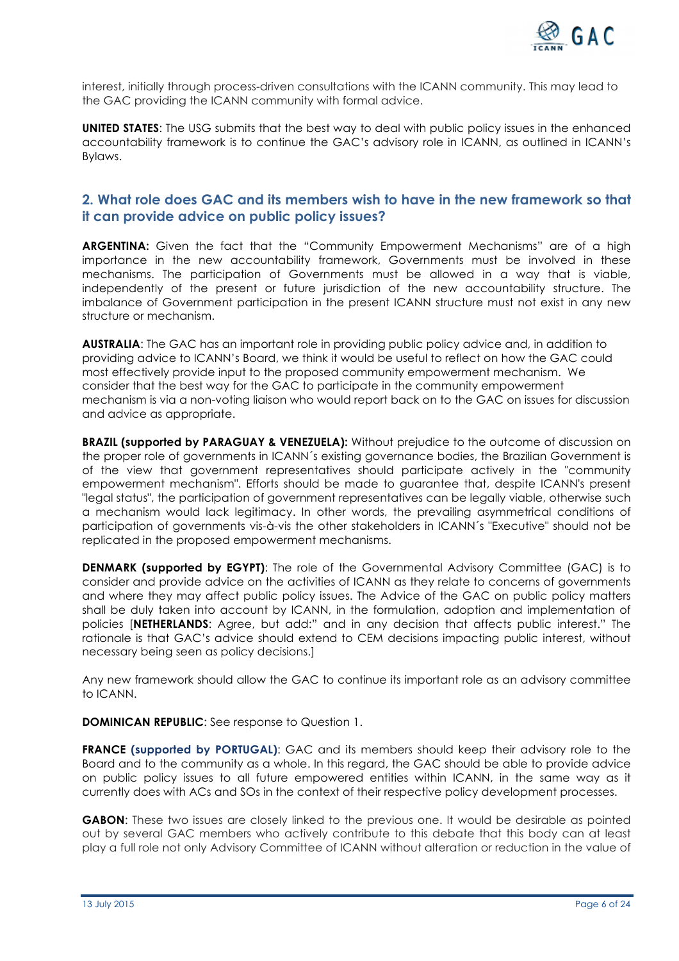

interest, initially through process-driven consultations with the ICANN community. This may lead to the GAC providing the ICANN community with formal advice.

**UNITED STATES**: The USG submits that the best way to deal with public policy issues in the enhanced accountability framework is to continue the GAC's advisory role in ICANN, as outlined in ICANN's Bylaws.

# **2. What role does GAC and its members wish to have in the new framework so that it can provide advice on public policy issues?**

**ARGENTINA:** Given the fact that the "Community Empowerment Mechanisms" are of a high importance in the new accountability framework, Governments must be involved in these mechanisms. The participation of Governments must be allowed in a way that is viable, independently of the present or future jurisdiction of the new accountability structure. The imbalance of Government participation in the present ICANN structure must not exist in any new structure or mechanism.

**AUSTRALIA**: The GAC has an important role in providing public policy advice and, in addition to providing advice to ICANN's Board, we think it would be useful to reflect on how the GAC could most effectively provide input to the proposed community empowerment mechanism. We consider that the best way for the GAC to participate in the community empowerment mechanism is via a non-voting liaison who would report back on to the GAC on issues for discussion and advice as appropriate.

**BRAZIL (supported by PARAGUAY & VENEZUELA):** Without prejudice to the outcome of discussion on the proper role of governments in ICANN´s existing governance bodies, the Brazilian Government is of the view that government representatives should participate actively in the "community empowerment mechanism". Efforts should be made to guarantee that, despite ICANN's present "legal status", the participation of government representatives can be legally viable, otherwise such a mechanism would lack legitimacy. In other words, the prevailing asymmetrical conditions of participation of governments vis-à-vis the other stakeholders in ICANN´s "Executive" should not be replicated in the proposed empowerment mechanisms.

**DENMARK (supported by EGYPT):** The role of the Governmental Advisory Committee (GAC) is to consider and provide advice on the activities of ICANN as they relate to concerns of governments and where they may affect public policy issues. The Advice of the GAC on public policy matters shall be duly taken into account by ICANN, in the formulation, adoption and implementation of policies [**NETHERLANDS**: Agree, but add:" and in any decision that affects public interest." The rationale is that GAC's advice should extend to CEM decisions impacting public interest, without necessary being seen as policy decisions.]

Any new framework should allow the GAC to continue its important role as an advisory committee to ICANN.

**DOMINICAN REPUBLIC:** See response to Question 1.

**FRANCE (supported by PORTUGAL)**: GAC and its members should keep their advisory role to the Board and to the community as a whole. In this regard, the GAC should be able to provide advice on public policy issues to all future empowered entities within ICANN, in the same way as it currently does with ACs and SOs in the context of their respective policy development processes.

**GABON**: These two issues are closely linked to the previous one. It would be desirable as pointed out by several GAC members who actively contribute to this debate that this body can at least play a full role not only Advisory Committee of ICANN without alteration or reduction in the value of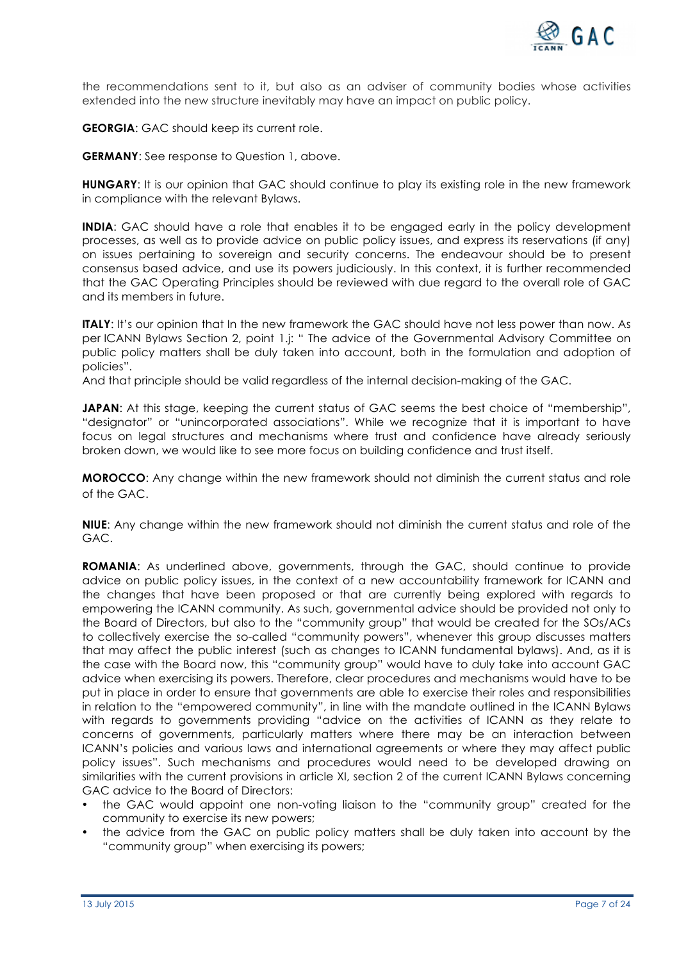

the recommendations sent to it, but also as an adviser of community bodies whose activities extended into the new structure inevitably may have an impact on public policy.

**GEORGIA:** GAC should keep its current role.

**GERMANY**: See response to Question 1, above.

**HUNGARY**: It is our opinion that GAC should continue to play its existing role in the new framework in compliance with the relevant Bylaws.

**INDIA:** GAC should have a role that enables it to be engaged early in the policy development processes, as well as to provide advice on public policy issues, and express its reservations (if any) on issues pertaining to sovereign and security concerns. The endeavour should be to present consensus based advice, and use its powers judiciously. In this context, it is further recommended that the GAC Operating Principles should be reviewed with due regard to the overall role of GAC and its members in future.

**ITALY:** It's our opinion that In the new framework the GAC should have not less power than now. As per ICANN Bylaws Section 2, point 1.j: " The advice of the Governmental Advisory Committee on public policy matters shall be duly taken into account, both in the formulation and adoption of policies".

And that principle should be valid regardless of the internal decision-making of the GAC.

**JAPAN**: At this stage, keeping the current status of GAC seems the best choice of "membership", "designator" or "unincorporated associations". While we recognize that it is important to have focus on legal structures and mechanisms where trust and confidence have already seriously broken down, we would like to see more focus on building confidence and trust itself.

**MOROCCO**: Any change within the new framework should not diminish the current status and role of the GAC.

**NIUE**: Any change within the new framework should not diminish the current status and role of the GAC.

**ROMANIA**: As underlined above, governments, through the GAC, should continue to provide advice on public policy issues, in the context of a new accountability framework for ICANN and the changes that have been proposed or that are currently being explored with regards to empowering the ICANN community. As such, governmental advice should be provided not only to the Board of Directors, but also to the "community group" that would be created for the SOs/ACs to collectively exercise the so-called "community powers", whenever this group discusses matters that may affect the public interest (such as changes to ICANN fundamental bylaws). And, as it is the case with the Board now, this "community group" would have to duly take into account GAC advice when exercising its powers. Therefore, clear procedures and mechanisms would have to be put in place in order to ensure that governments are able to exercise their roles and responsibilities in relation to the "empowered community", in line with the mandate outlined in the ICANN Bylaws with regards to governments providing "advice on the activities of ICANN as they relate to concerns of governments, particularly matters where there may be an interaction between ICANN's policies and various laws and international agreements or where they may affect public policy issues". Such mechanisms and procedures would need to be developed drawing on similarities with the current provisions in article XI, section 2 of the current ICANN Bylaws concerning GAC advice to the Board of Directors:

- the GAC would appoint one non-voting liaison to the "community group" created for the community to exercise its new powers;
- the advice from the GAC on public policy matters shall be duly taken into account by the "community group" when exercising its powers;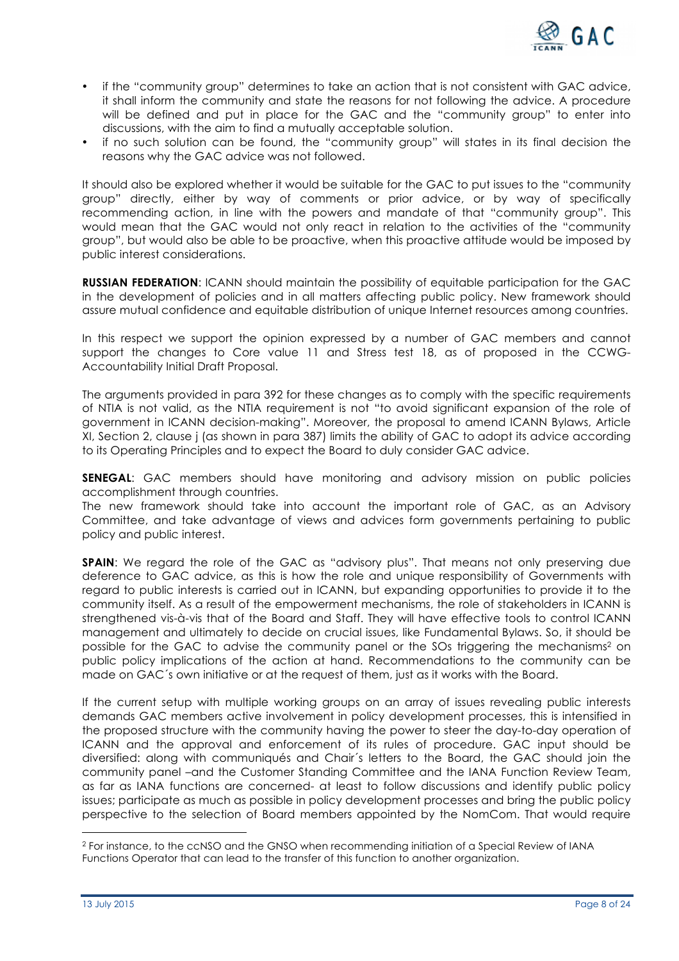

- if the "community group" determines to take an action that is not consistent with GAC advice, it shall inform the community and state the reasons for not following the advice. A procedure will be defined and put in place for the GAC and the "community group" to enter into discussions, with the aim to find a mutually acceptable solution.
- if no such solution can be found, the "community group" will states in its final decision the reasons why the GAC advice was not followed.

It should also be explored whether it would be suitable for the GAC to put issues to the "community group" directly, either by way of comments or prior advice, or by way of specifically recommending action, in line with the powers and mandate of that "community group". This would mean that the GAC would not only react in relation to the activities of the "community group", but would also be able to be proactive, when this proactive attitude would be imposed by public interest considerations.

**RUSSIAN FEDERATION:** ICANN should maintain the possibility of equitable participation for the GAC in the development of policies and in all matters affecting public policy. New framework should assure mutual confidence and equitable distribution of unique Internet resources among countries.

In this respect we support the opinion expressed by a number of GAC members and cannot support the changes to Core value 11 and Stress test 18, as of proposed in the CCWG-Accountability Initial Draft Proposal.

The arguments provided in para 392 for these changes as to comply with the specific requirements of NTIA is not valid, as the NTIA requirement is not "to avoid significant expansion of the role of government in ICANN decision-making". Moreover, the proposal to amend ICANN Bylaws, Article XI, Section 2, clause j (as shown in para 387) limits the ability of GAC to adopt its advice according to its Operating Principles and to expect the Board to duly consider GAC advice.

**SENEGAL**: GAC members should have monitoring and advisory mission on public policies accomplishment through countries.

The new framework should take into account the important role of GAC, as an Advisory Committee, and take advantage of views and advices form governments pertaining to public policy and public interest.

**SPAIN:** We regard the role of the GAC as "advisory plus". That means not only preserving due deference to GAC advice, as this is how the role and unique responsibility of Governments with regard to public interests is carried out in ICANN, but expanding opportunities to provide it to the community itself. As a result of the empowerment mechanisms, the role of stakeholders in ICANN is strengthened vis-à-vis that of the Board and Staff. They will have effective tools to control ICANN management and ultimately to decide on crucial issues, like Fundamental Bylaws. So, it should be possible for the GAC to advise the community panel or the SOs triggering the mechanisms2 on public policy implications of the action at hand. Recommendations to the community can be made on GAC´s own initiative or at the request of them, just as it works with the Board.

If the current setup with multiple working groups on an array of issues revealing public interests demands GAC members active involvement in policy development processes, this is intensified in the proposed structure with the community having the power to steer the day-to-day operation of ICANN and the approval and enforcement of its rules of procedure. GAC input should be diversified: along with communiqués and Chair´s letters to the Board, the GAC should join the community panel –and the Customer Standing Committee and the IANA Function Review Team, as far as IANA functions are concerned- at least to follow discussions and identify public policy issues; participate as much as possible in policy development processes and bring the public policy perspective to the selection of Board members appointed by the NomCom. That would require

 

<sup>2</sup> For instance, to the ccNSO and the GNSO when recommending initiation of a Special Review of IANA Functions Operator that can lead to the transfer of this function to another organization.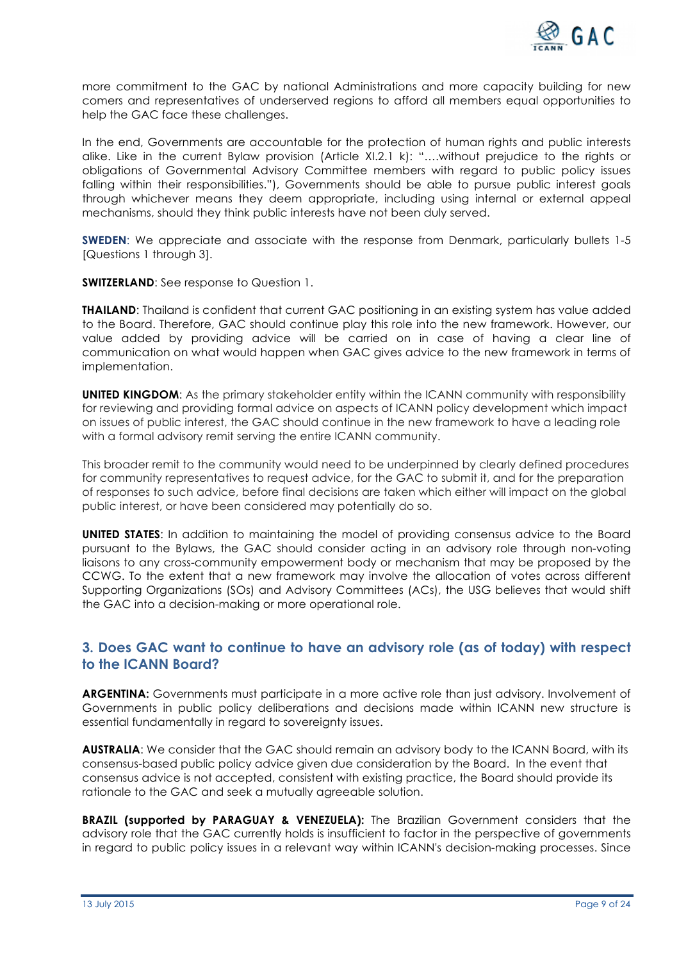

more commitment to the GAC by national Administrations and more capacity building for new comers and representatives of underserved regions to afford all members equal opportunities to help the GAC face these challenges.

In the end, Governments are accountable for the protection of human rights and public interests alike. Like in the current Bylaw provision (Article XI.2.1 k): "….without prejudice to the rights or obligations of Governmental Advisory Committee members with regard to public policy issues falling within their responsibilities."), Governments should be able to pursue public interest goals through whichever means they deem appropriate, including using internal or external appeal mechanisms, should they think public interests have not been duly served.

**SWEDEN:** We appreciate and associate with the response from Denmark, particularly bullets 1-5 [Questions 1 through 3].

**SWITZERLAND:** See response to Question 1.

**THAILAND**: Thailand is confident that current GAC positioning in an existing system has value added to the Board. Therefore, GAC should continue play this role into the new framework. However, our value added by providing advice will be carried on in case of having a clear line of communication on what would happen when GAC gives advice to the new framework in terms of implementation.

**UNITED KINGDOM:** As the primary stakeholder entity within the ICANN community with responsibility for reviewing and providing formal advice on aspects of ICANN policy development which impact on issues of public interest, the GAC should continue in the new framework to have a leading role with a formal advisory remit serving the entire ICANN community.

This broader remit to the community would need to be underpinned by clearly defined procedures for community representatives to request advice, for the GAC to submit it, and for the preparation of responses to such advice, before final decisions are taken which either will impact on the global public interest, or have been considered may potentially do so.

**UNITED STATES**: In addition to maintaining the model of providing consensus advice to the Board pursuant to the Bylaws, the GAC should consider acting in an advisory role through non-voting liaisons to any cross-community empowerment body or mechanism that may be proposed by the CCWG. To the extent that a new framework may involve the allocation of votes across different Supporting Organizations (SOs) and Advisory Committees (ACs), the USG believes that would shift the GAC into a decision-making or more operational role.

# **3. Does GAC want to continue to have an advisory role (as of today) with respect to the ICANN Board?**

**ARGENTINA:** Governments must participate in a more active role than just advisory. Involvement of Governments in public policy deliberations and decisions made within ICANN new structure is essential fundamentally in regard to sovereignty issues.

**AUSTRALIA**: We consider that the GAC should remain an advisory body to the ICANN Board, with its consensus-based public policy advice given due consideration by the Board. In the event that consensus advice is not accepted, consistent with existing practice, the Board should provide its rationale to the GAC and seek a mutually agreeable solution.

**BRAZIL (supported by PARAGUAY & VENEZUELA):** The Brazilian Government considers that the advisory role that the GAC currently holds is insufficient to factor in the perspective of governments in regard to public policy issues in a relevant way within ICANN's decision-making processes. Since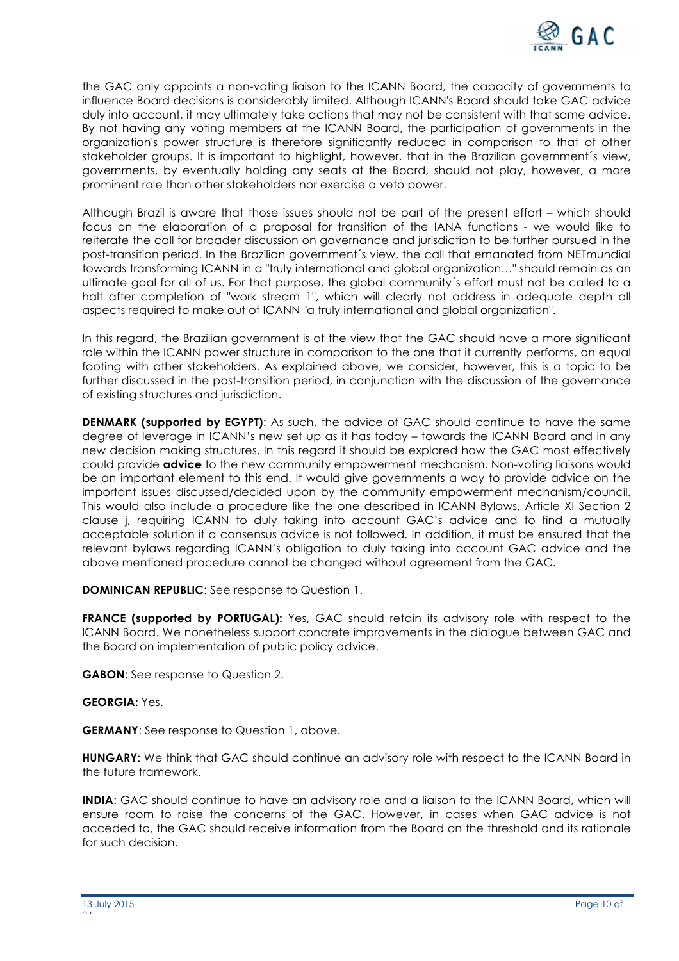

the GAC only appoints a non-voting liaison to the ICANN Board, the capacity of governments to influence Board decisions is considerably limited. Although ICANN's Board should take GAC advice duly into account, it may ultimately take actions that may not be consistent with that same advice. By not having any voting members at the ICANN Board, the participation of governments in the organization's power structure is therefore significantly reduced in comparison to that of other stakeholder groups. It is important to highlight, however, that in the Brazilian government´s view, governments, by eventually holding any seats at the Board, should not play, however, a more prominent role than other stakeholders nor exercise a veto power.

Although Brazil is aware that those issues should not be part of the present effort – which should focus on the elaboration of a proposal for transition of the IANA functions - we would like to reiterate the call for broader discussion on governance and jurisdiction to be further pursued in the post-transition period. In the Brazilian government´s view, the call that emanated from NETmundial towards transforming ICANN in a "truly international and global organization…" should remain as an ultimate goal for all of us. For that purpose, the global community´s effort must not be called to a halt after completion of "work stream 1", which will clearly not address in adequate depth all aspects required to make out of ICANN "a truly international and global organization".

In this regard, the Brazilian government is of the view that the GAC should have a more significant role within the ICANN power structure in comparison to the one that it currently performs, on equal footing with other stakeholders. As explained above, we consider, however, this is a topic to be further discussed in the post-transition period, in conjunction with the discussion of the governance of existing structures and jurisdiction.

**DENMARK (supported by EGYPT)**: As such, the advice of GAC should continue to have the same degree of leverage in ICANN's new set up as it has today – towards the ICANN Board and in any new decision making structures. In this regard it should be explored how the GAC most effectively could provide **advice** to the new community empowerment mechanism. Non-voting liaisons would be an important element to this end. It would give governments a way to provide advice on the important issues discussed/decided upon by the community empowerment mechanism/council. This would also include a procedure like the one described in ICANN Bylaws, Article XI Section 2 clause j, requiring ICANN to duly taking into account GAC's advice and to find a mutually acceptable solution if a consensus advice is not followed. In addition, it must be ensured that the relevant bylaws regarding ICANN's obligation to duly taking into account GAC advice and the above mentioned procedure cannot be changed without agreement from the GAC.

**DOMINICAN REPUBLIC**: See response to Question 1.

**FRANCE (supported by PORTUGAL):** Yes, GAC should retain its advisory role with respect to the ICANN Board. We nonetheless support concrete improvements in the dialogue between GAC and the Board on implementation of public policy advice.

**GABON**: See response to Question 2.

### **GEORGIA:** Yes.

**GERMANY**: See response to Question 1, above.

**HUNGARY**: We think that GAC should continue an advisory role with respect to the ICANN Board in the future framework.

**INDIA**: GAC should continue to have an advisory role and a liaison to the ICANN Board, which will ensure room to raise the concerns of the GAC. However, in cases when GAC advice is not acceded to, the GAC should receive information from the Board on the threshold and its rationale for such decision.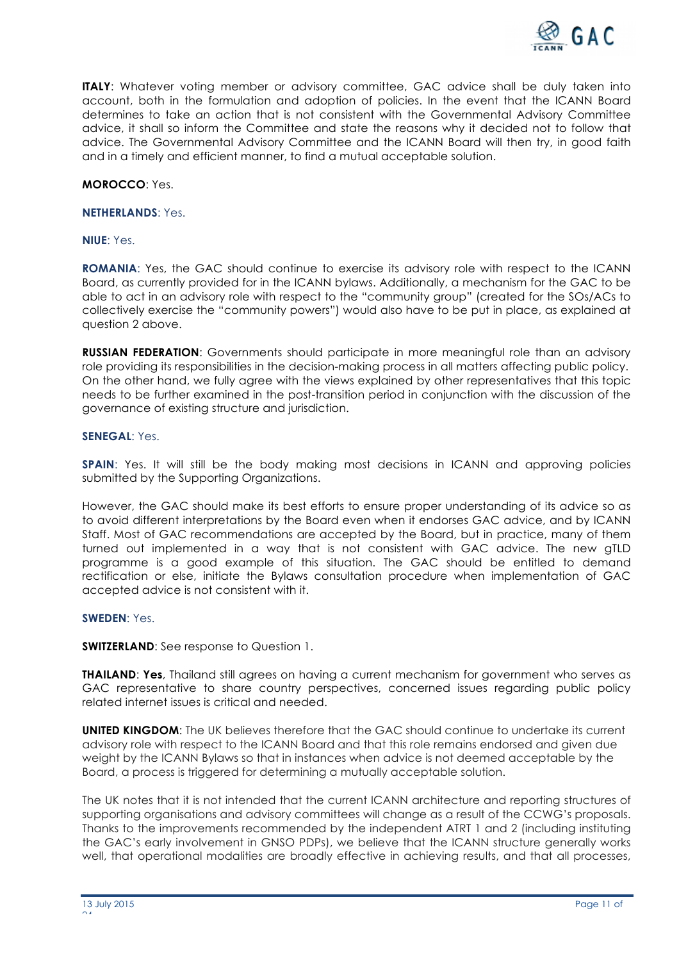

**ITALY:** Whatever voting member or advisory committee, GAC advice shall be duly taken into account, both in the formulation and adoption of policies. In the event that the ICANN Board determines to take an action that is not consistent with the Governmental Advisory Committee advice, it shall so inform the Committee and state the reasons why it decided not to follow that advice. The Governmental Advisory Committee and the ICANN Board will then try, in good faith and in a timely and efficient manner, to find a mutual acceptable solution.

**MOROCCO**: Yes.

#### **NETHERLANDS**: Yes.

#### **NIUE**: Yes.

**ROMANIA**: Yes, the GAC should continue to exercise its advisory role with respect to the ICANN Board, as currently provided for in the ICANN bylaws. Additionally, a mechanism for the GAC to be able to act in an advisory role with respect to the "community group" (created for the SOs/ACs to collectively exercise the "community powers") would also have to be put in place, as explained at question 2 above.

**RUSSIAN FEDERATION**: Governments should participate in more meaningful role than an advisory role providing its responsibilities in the decision-making process in all matters affecting public policy. On the other hand, we fully agree with the views explained by other representatives that this topic needs to be further examined in the post-transition period in conjunction with the discussion of the governance of existing structure and jurisdiction.

#### **SENEGAL**: Yes.

**SPAIN:** Yes. It will still be the body making most decisions in ICANN and approving policies submitted by the Supporting Organizations.

However, the GAC should make its best efforts to ensure proper understanding of its advice so as to avoid different interpretations by the Board even when it endorses GAC advice, and by ICANN Staff. Most of GAC recommendations are accepted by the Board, but in practice, many of them turned out implemented in a way that is not consistent with GAC advice. The new gTLD programme is a good example of this situation. The GAC should be entitled to demand rectification or else, initiate the Bylaws consultation procedure when implementation of GAC accepted advice is not consistent with it.

### **SWEDEN**: Yes.

### **SWITZERLAND:** See response to Question 1.

**THAILAND**: **Yes**, Thailand still agrees on having a current mechanism for government who serves as GAC representative to share country perspectives, concerned issues regarding public policy related internet issues is critical and needed.

**UNITED KINGDOM:** The UK believes therefore that the GAC should continue to undertake its current advisory role with respect to the ICANN Board and that this role remains endorsed and given due weight by the ICANN Bylaws so that in instances when advice is not deemed acceptable by the Board, a process is triggered for determining a mutually acceptable solution.

The UK notes that it is not intended that the current ICANN architecture and reporting structures of supporting organisations and advisory committees will change as a result of the CCWG's proposals. Thanks to the improvements recommended by the independent ATRT 1 and 2 (including instituting the GAC's early involvement in GNSO PDPs), we believe that the ICANN structure generally works well, that operational modalities are broadly effective in achieving results, and that all processes,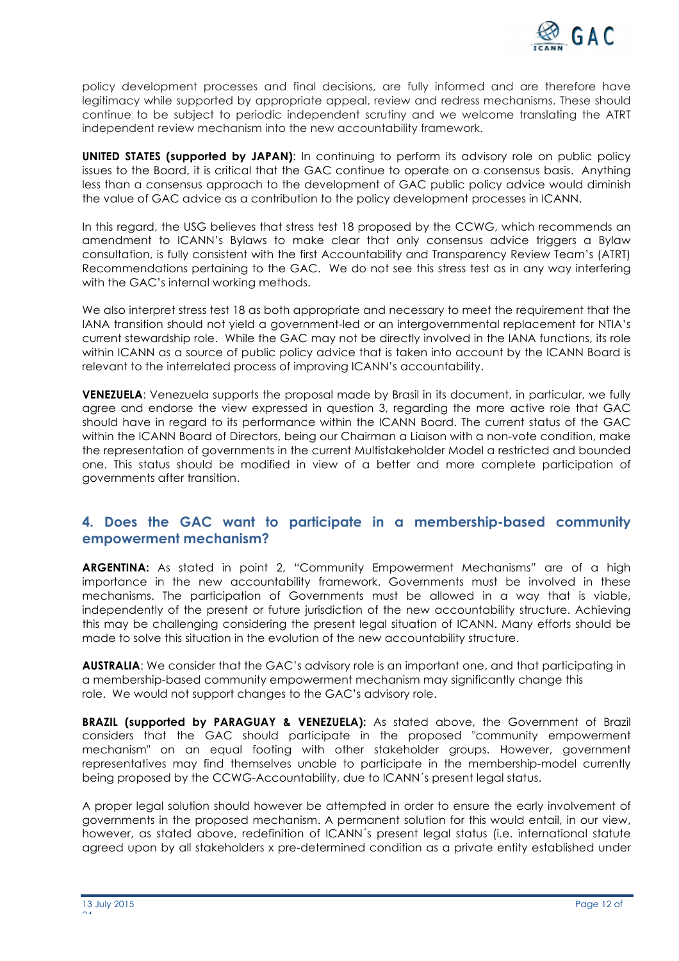

policy development processes and final decisions, are fully informed and are therefore have legitimacy while supported by appropriate appeal, review and redress mechanisms. These should continue to be subject to periodic independent scrutiny and we welcome translating the ATRT independent review mechanism into the new accountability framework.

**UNITED STATES (supported by JAPAN)**: In continuing to perform its advisory role on public policy issues to the Board, it is critical that the GAC continue to operate on a consensus basis. Anything less than a consensus approach to the development of GAC public policy advice would diminish the value of GAC advice as a contribution to the policy development processes in ICANN.

In this regard, the USG believes that stress test 18 proposed by the CCWG, which recommends an amendment to ICANN's Bylaws to make clear that only consensus advice triggers a Bylaw consultation, is fully consistent with the first Accountability and Transparency Review Team's (ATRT) Recommendations pertaining to the GAC. We do not see this stress test as in any way interfering with the GAC's internal working methods.

We also interpret stress test 18 as both appropriate and necessary to meet the requirement that the IANA transition should not yield a government-led or an intergovernmental replacement for NTIA's current stewardship role. While the GAC may not be directly involved in the IANA functions, its role within ICANN as a source of public policy advice that is taken into account by the ICANN Board is relevant to the interrelated process of improving ICANN's accountability.

**VENEZUELA**: Venezuela supports the proposal made by Brasil in its document, in particular, we fully agree and endorse the view expressed in question 3, regarding the more active role that GAC should have in regard to its performance within the ICANN Board. The current status of the GAC within the ICANN Board of Directors, being our Chairman a Liaison with a non-vote condition, make the representation of governments in the current Multistakeholder Model a restricted and bounded one. This status should be modified in view of a better and more complete participation of governments after transition.

# **4. Does the GAC want to participate in a membership-based community empowerment mechanism?**

**ARGENTINA:** As stated in point 2, "Community Empowerment Mechanisms" are of a high importance in the new accountability framework. Governments must be involved in these mechanisms. The participation of Governments must be allowed in a way that is viable, independently of the present or future jurisdiction of the new accountability structure. Achieving this may be challenging considering the present legal situation of ICANN. Many efforts should be made to solve this situation in the evolution of the new accountability structure.

**AUSTRALIA**: We consider that the GAC's advisory role is an important one, and that participating in a membership-based community empowerment mechanism may significantly change this role. We would not support changes to the GAC's advisory role.

**BRAZIL (supported by PARAGUAY & VENEZUELA):** As stated above, the Government of Brazil considers that the GAC should participate in the proposed "community empowerment mechanism" on an equal footing with other stakeholder groups. However, government representatives may find themselves unable to participate in the membership-model currently being proposed by the CCWG-Accountability, due to ICANN´s present legal status.

A proper legal solution should however be attempted in order to ensure the early involvement of governments in the proposed mechanism. A permanent solution for this would entail, in our view, however, as stated above, redefinition of ICANN´s present legal status (i.e. international statute agreed upon by all stakeholders x pre-determined condition as a private entity established under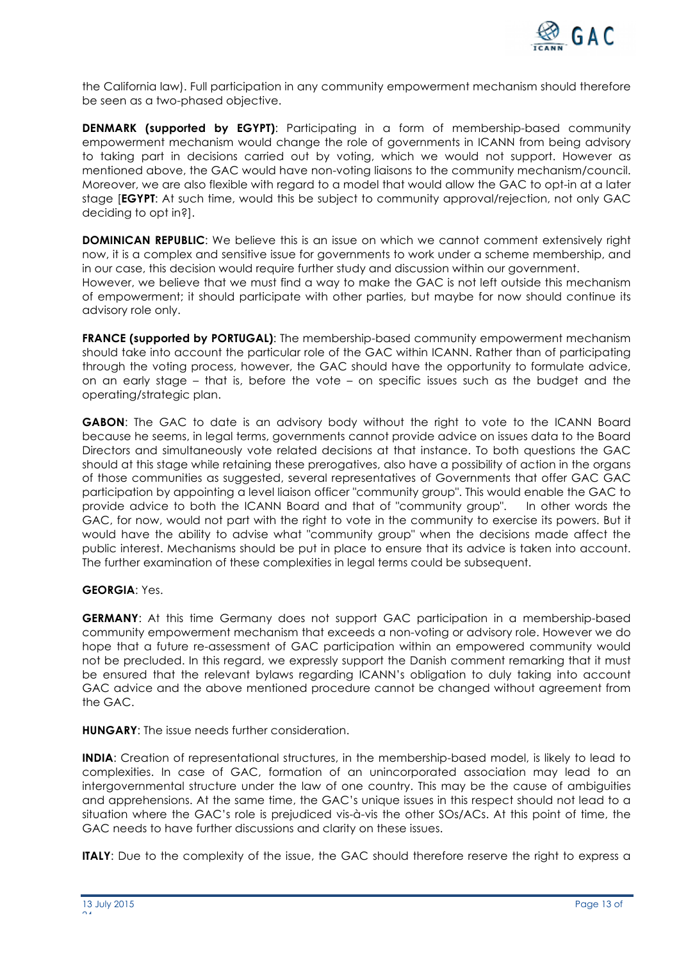

the California law). Full participation in any community empowerment mechanism should therefore be seen as a two-phased objective.

**DENMARK (supported by EGYPT)**: Participating in a form of membership-based community empowerment mechanism would change the role of governments in ICANN from being advisory to taking part in decisions carried out by voting, which we would not support. However as mentioned above, the GAC would have non-voting liaisons to the community mechanism/council. Moreover, we are also flexible with regard to a model that would allow the GAC to opt-in at a later stage [**EGYPT**: At such time, would this be subject to community approval/rejection, not only GAC deciding to opt in?].

**DOMINICAN REPUBLIC**: We believe this is an issue on which we cannot comment extensively right now, it is a complex and sensitive issue for governments to work under a scheme membership, and in our case, this decision would require further study and discussion within our government. However, we believe that we must find a way to make the GAC is not left outside this mechanism of empowerment; it should participate with other parties, but maybe for now should continue its advisory role only.

**FRANCE (supported by PORTUGAL)**: The membership-based community empowerment mechanism should take into account the particular role of the GAC within ICANN. Rather than of participating through the voting process, however, the GAC should have the opportunity to formulate advice, on an early stage – that is, before the vote – on specific issues such as the budget and the operating/strategic plan.

**GABON**: The GAC to date is an advisory body without the right to vote to the ICANN Board because he seems, in legal terms, governments cannot provide advice on issues data to the Board Directors and simultaneously vote related decisions at that instance. To both questions the GAC should at this stage while retaining these prerogatives, also have a possibility of action in the organs of those communities as suggested, several representatives of Governments that offer GAC GAC participation by appointing a level liaison officer "community group". This would enable the GAC to provide advice to both the ICANN Board and that of "community group". In other words the GAC, for now, would not part with the right to vote in the community to exercise its powers. But it would have the ability to advise what "community group" when the decisions made affect the public interest. Mechanisms should be put in place to ensure that its advice is taken into account. The further examination of these complexities in legal terms could be subsequent.

### **GEORGIA**: Yes.

**GERMANY**: At this time Germany does not support GAC participation in a membership-based community empowerment mechanism that exceeds a non-voting or advisory role. However we do hope that a future re-assessment of GAC participation within an empowered community would not be precluded. In this regard, we expressly support the Danish comment remarking that it must be ensured that the relevant bylaws regarding ICANN's obligation to duly taking into account GAC advice and the above mentioned procedure cannot be changed without agreement from the GAC.

**HUNGARY**: The issue needs further consideration.

**INDIA**: Creation of representational structures, in the membership-based model, is likely to lead to complexities. In case of GAC, formation of an unincorporated association may lead to an intergovernmental structure under the law of one country. This may be the cause of ambiguities and apprehensions. At the same time, the GAC's unique issues in this respect should not lead to a situation where the GAC's role is prejudiced vis-à-vis the other SOs/ACs. At this point of time, the GAC needs to have further discussions and clarity on these issues.

**ITALY:** Due to the complexity of the issue, the GAC should therefore reserve the right to express a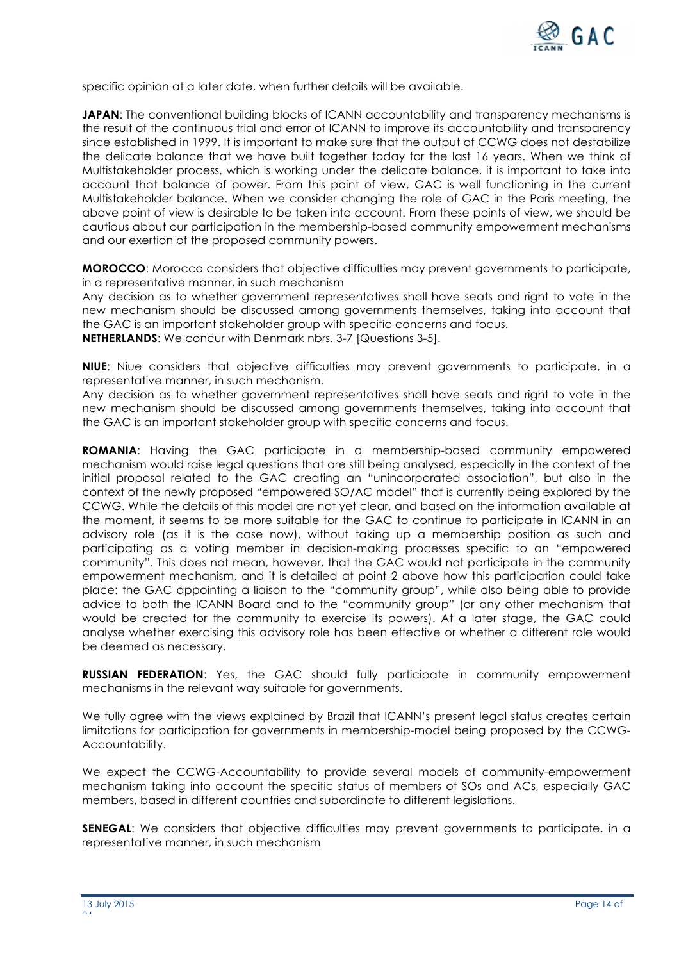

specific opinion at a later date, when further details will be available.

**JAPAN:** The conventional building blocks of ICANN accountability and transparency mechanisms is the result of the continuous trial and error of ICANN to improve its accountability and transparency since established in 1999. It is important to make sure that the output of CCWG does not destabilize the delicate balance that we have built together today for the last 16 years. When we think of Multistakeholder process, which is working under the delicate balance, it is important to take into account that balance of power. From this point of view, GAC is well functioning in the current Multistakeholder balance. When we consider changing the role of GAC in the Paris meeting, the above point of view is desirable to be taken into account. From these points of view, we should be cautious about our participation in the membership-based community empowerment mechanisms and our exertion of the proposed community powers.

**MOROCCO**: Morocco considers that objective difficulties may prevent governments to participate, in a representative manner, in such mechanism

Any decision as to whether government representatives shall have seats and right to vote in the new mechanism should be discussed among governments themselves, taking into account that the GAC is an important stakeholder group with specific concerns and focus.

**NETHERLANDS**: We concur with Denmark nbrs. 3-7 [Questions 3-5].

**NIUE**: Niue considers that objective difficulties may prevent governments to participate, in a representative manner, in such mechanism.

Any decision as to whether government representatives shall have seats and right to vote in the new mechanism should be discussed among governments themselves, taking into account that the GAC is an important stakeholder group with specific concerns and focus.

**ROMANIA**: Having the GAC participate in a membership-based community empowered mechanism would raise legal questions that are still being analysed, especially in the context of the initial proposal related to the GAC creating an "unincorporated association", but also in the context of the newly proposed "empowered SO/AC model" that is currently being explored by the CCWG. While the details of this model are not yet clear, and based on the information available at the moment, it seems to be more suitable for the GAC to continue to participate in ICANN in an advisory role (as it is the case now), without taking up a membership position as such and participating as a voting member in decision-making processes specific to an "empowered community". This does not mean, however, that the GAC would not participate in the community empowerment mechanism, and it is detailed at point 2 above how this participation could take place: the GAC appointing a liaison to the "community group", while also being able to provide advice to both the ICANN Board and to the "community group" (or any other mechanism that would be created for the community to exercise its powers). At a later stage, the GAC could analyse whether exercising this advisory role has been effective or whether a different role would be deemed as necessary.

**RUSSIAN FEDERATION**: Yes, the GAC should fully participate in community empowerment mechanisms in the relevant way suitable for governments.

We fully agree with the views explained by Brazil that ICANN's present legal status creates certain limitations for participation for governments in membership-model being proposed by the CCWG-Accountability.

We expect the CCWG-Accountability to provide several models of community-empowerment mechanism taking into account the specific status of members of SOs and ACs, especially GAC members, based in different countries and subordinate to different legislations.

**SENEGAL:** We considers that objective difficulties may prevent governments to participate, in a representative manner, in such mechanism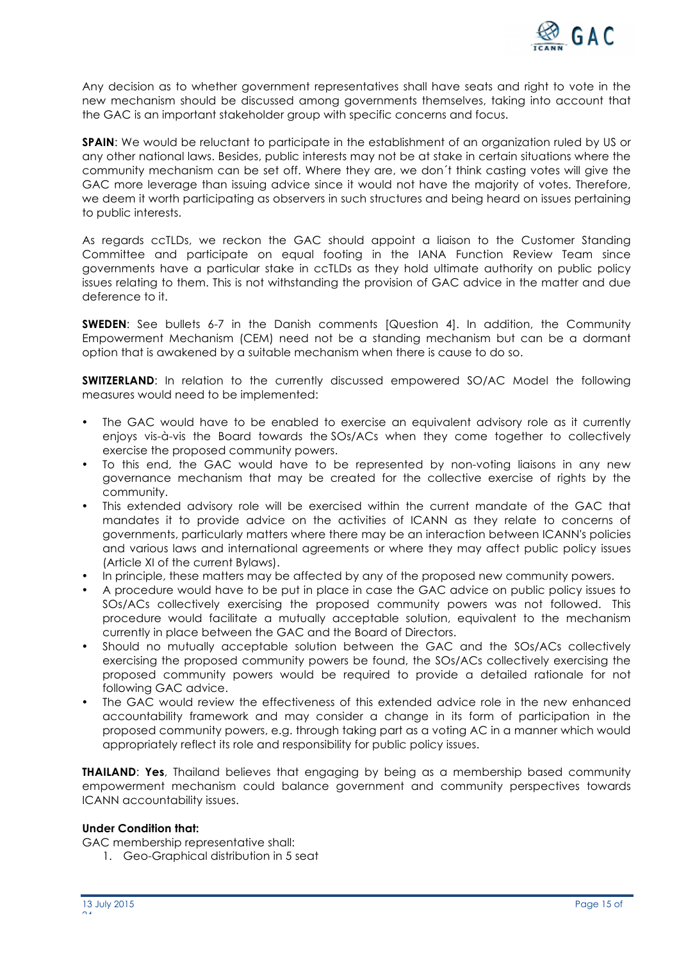

Any decision as to whether government representatives shall have seats and right to vote in the new mechanism should be discussed among governments themselves, taking into account that the GAC is an important stakeholder group with specific concerns and focus.

**SPAIN:** We would be reluctant to participate in the establishment of an organization ruled by US or any other national laws. Besides, public interests may not be at stake in certain situations where the community mechanism can be set off. Where they are, we don´t think casting votes will give the GAC more leverage than issuing advice since it would not have the majority of votes. Therefore, we deem it worth participating as observers in such structures and being heard on issues pertaining to public interests.

As regards ccTLDs, we reckon the GAC should appoint a liaison to the Customer Standing Committee and participate on equal footing in the IANA Function Review Team since governments have a particular stake in ccTLDs as they hold ultimate authority on public policy issues relating to them. This is not withstanding the provision of GAC advice in the matter and due deference to it.

**SWEDEN:** See bullets 6-7 in the Danish comments [Question 4]. In addition, the Community Empowerment Mechanism (CEM) need not be a standing mechanism but can be a dormant option that is awakened by a suitable mechanism when there is cause to do so.

**SWITZERLAND:** In relation to the currently discussed empowered SO/AC Model the following measures would need to be implemented:

- The GAC would have to be enabled to exercise an equivalent advisory role as it currently enjoys vis-à-vis the Board towards the SOs/ACs when they come together to collectively exercise the proposed community powers.
- To this end, the GAC would have to be represented by non-voting liaisons in any new governance mechanism that may be created for the collective exercise of rights by the community.
- This extended advisory role will be exercised within the current mandate of the GAC that mandates it to provide advice on the activities of ICANN as they relate to concerns of governments, particularly matters where there may be an interaction between ICANN's policies and various laws and international agreements or where they may affect public policy issues (Article XI of the current Bylaws).
- In principle, these matters may be affected by any of the proposed new community powers.
- A procedure would have to be put in place in case the GAC advice on public policy issues to SOs/ACs collectively exercising the proposed community powers was not followed. This procedure would facilitate a mutually acceptable solution, equivalent to the mechanism currently in place between the GAC and the Board of Directors.
- Should no mutually acceptable solution between the GAC and the SOs/ACs collectively exercising the proposed community powers be found, the SOs/ACs collectively exercising the proposed community powers would be required to provide a detailed rationale for not following GAC advice.
- The GAC would review the effectiveness of this extended advice role in the new enhanced accountability framework and may consider a change in its form of participation in the proposed community powers, e.g. through taking part as a voting AC in a manner which would appropriately reflect its role and responsibility for public policy issues.

**THAILAND**: **Yes**, Thailand believes that engaging by being as a membership based community empowerment mechanism could balance government and community perspectives towards ICANN accountability issues.

### **Under Condition that:**

GAC membership representative shall:

1. Geo-Graphical distribution in 5 seat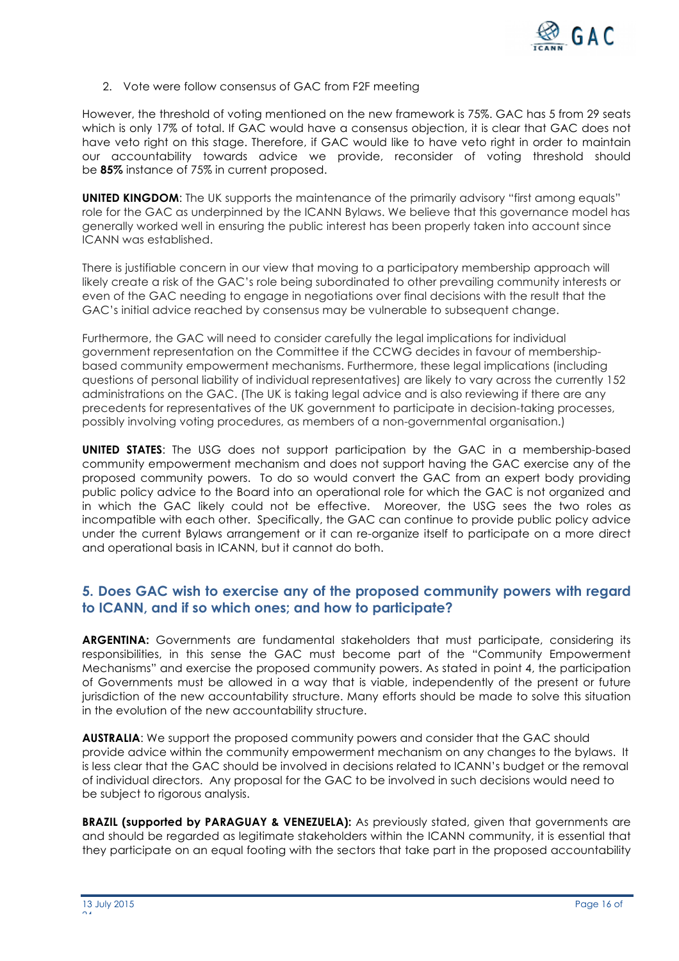

2. Vote were follow consensus of GAC from F2F meeting

However, the threshold of voting mentioned on the new framework is 75%. GAC has 5 from 29 seats which is only 17% of total. If GAC would have a consensus objection, it is clear that GAC does not have veto right on this stage. Therefore, if GAC would like to have veto right in order to maintain our accountability towards advice we provide, reconsider of voting threshold should be **85%** instance of 75% in current proposed.

**UNITED KINGDOM:** The UK supports the maintenance of the primarily advisory "first among equals" role for the GAC as underpinned by the ICANN Bylaws. We believe that this governance model has generally worked well in ensuring the public interest has been properly taken into account since ICANN was established.

There is justifiable concern in our view that moving to a participatory membership approach will likely create a risk of the GAC's role being subordinated to other prevailing community interests or even of the GAC needing to engage in negotiations over final decisions with the result that the GAC's initial advice reached by consensus may be vulnerable to subsequent change.

Furthermore, the GAC will need to consider carefully the legal implications for individual government representation on the Committee if the CCWG decides in favour of membershipbased community empowerment mechanisms. Furthermore, these legal implications (including questions of personal liability of individual representatives) are likely to vary across the currently 152 administrations on the GAC. (The UK is taking legal advice and is also reviewing if there are any precedents for representatives of the UK government to participate in decision-taking processes, possibly involving voting procedures, as members of a non-governmental organisation.)

**UNITED STATES**: The USG does not support participation by the GAC in a membership-based community empowerment mechanism and does not support having the GAC exercise any of the proposed community powers. To do so would convert the GAC from an expert body providing public policy advice to the Board into an operational role for which the GAC is not organized and in which the GAC likely could not be effective. Moreover, the USG sees the two roles as incompatible with each other. Specifically, the GAC can continue to provide public policy advice under the current Bylaws arrangement or it can re-organize itself to participate on a more direct and operational basis in ICANN, but it cannot do both.

# **5. Does GAC wish to exercise any of the proposed community powers with regard to ICANN, and if so which ones; and how to participate?**

**ARGENTINA:** Governments are fundamental stakeholders that must participate, considering its responsibilities, in this sense the GAC must become part of the "Community Empowerment Mechanisms" and exercise the proposed community powers. As stated in point 4, the participation of Governments must be allowed in a way that is viable, independently of the present or future jurisdiction of the new accountability structure. Many efforts should be made to solve this situation in the evolution of the new accountability structure.

**AUSTRALIA**: We support the proposed community powers and consider that the GAC should provide advice within the community empowerment mechanism on any changes to the bylaws. It is less clear that the GAC should be involved in decisions related to ICANN's budget or the removal of individual directors. Any proposal for the GAC to be involved in such decisions would need to be subject to rigorous analysis.

**BRAZIL (supported by PARAGUAY & VENEZUELA):** As previously stated, given that governments are and should be regarded as legitimate stakeholders within the ICANN community, it is essential that they participate on an equal footing with the sectors that take part in the proposed accountability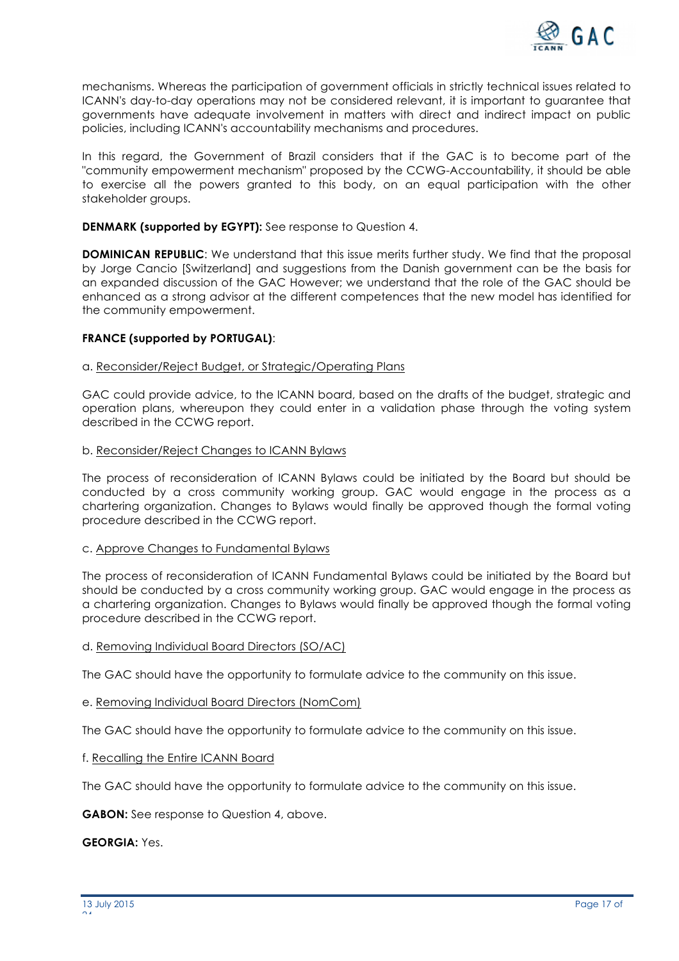

mechanisms. Whereas the participation of government officials in strictly technical issues related to ICANN's day-to-day operations may not be considered relevant, it is important to guarantee that governments have adequate involvement in matters with direct and indirect impact on public policies, including ICANN's accountability mechanisms and procedures.

In this regard, the Government of Brazil considers that if the GAC is to become part of the "community empowerment mechanism" proposed by the CCWG-Accountability, it should be able to exercise all the powers granted to this body, on an equal participation with the other stakeholder groups.

### **DENMARK (supported by EGYPT):** See response to Question 4.

**DOMINICAN REPUBLIC:** We understand that this issue merits further study. We find that the proposal by Jorge Cancio [Switzerland] and suggestions from the Danish government can be the basis for an expanded discussion of the GAC However; we understand that the role of the GAC should be enhanced as a strong advisor at the different competences that the new model has identified for the community empowerment.

### **FRANCE (supported by PORTUGAL)**:

### a. Reconsider/Reject Budget, or Strategic/Operating Plans

GAC could provide advice, to the ICANN board, based on the drafts of the budget, strategic and operation plans, whereupon they could enter in a validation phase through the voting system described in the CCWG report.

#### b. Reconsider/Reject Changes to ICANN Bylaws

The process of reconsideration of ICANN Bylaws could be initiated by the Board but should be conducted by a cross community working group. GAC would engage in the process as a chartering organization. Changes to Bylaws would finally be approved though the formal voting procedure described in the CCWG report.

### c. Approve Changes to Fundamental Bylaws

The process of reconsideration of ICANN Fundamental Bylaws could be initiated by the Board but should be conducted by a cross community working group. GAC would engage in the process as a chartering organization. Changes to Bylaws would finally be approved though the formal voting procedure described in the CCWG report.

### d. Removing Individual Board Directors (SO/AC)

The GAC should have the opportunity to formulate advice to the community on this issue.

### e. Removing Individual Board Directors (NomCom)

The GAC should have the opportunity to formulate advice to the community on this issue.

#### f. Recalling the Entire ICANN Board

The GAC should have the opportunity to formulate advice to the community on this issue.

### **GABON:** See response to Question 4, above.

**GEORGIA:** Yes.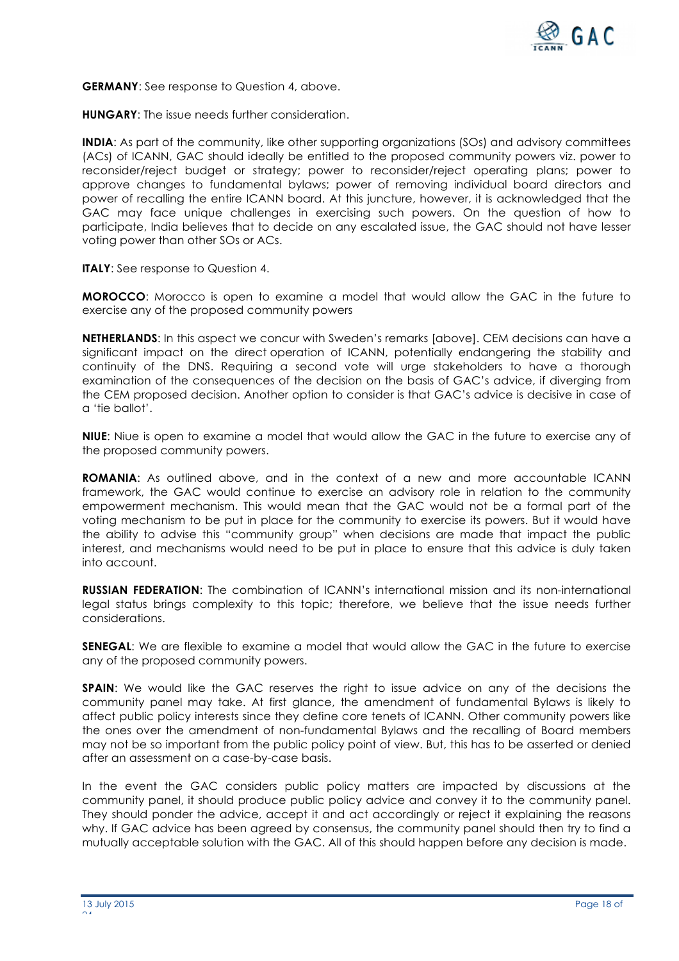

**GERMANY**: See response to Question 4, above.

**HUNGARY**: The issue needs further consideration.

**INDIA:** As part of the community, like other supporting organizations (SOs) and advisory committees (ACs) of ICANN, GAC should ideally be entitled to the proposed community powers viz. power to reconsider/reject budget or strategy; power to reconsider/reject operating plans; power to approve changes to fundamental bylaws; power of removing individual board directors and power of recalling the entire ICANN board. At this juncture, however, it is acknowledged that the GAC may face unique challenges in exercising such powers. On the question of how to participate, India believes that to decide on any escalated issue, the GAC should not have lesser voting power than other SOs or ACs.

**ITALY:** See response to Question 4.

**MOROCCO**: Morocco is open to examine a model that would allow the GAC in the future to exercise any of the proposed community powers

**NETHERLANDS**: In this aspect we concur with Sweden's remarks [above]. CEM decisions can have a significant impact on the direct operation of ICANN, potentially endangering the stability and continuity of the DNS. Requiring a second vote will urge stakeholders to have a thorough examination of the consequences of the decision on the basis of GAC's advice, if diverging from the CEM proposed decision. Another option to consider is that GAC's advice is decisive in case of a 'tie ballot'.

**NIUE**: Niue is open to examine a model that would allow the GAC in the future to exercise any of the proposed community powers.

**ROMANIA**: As outlined above, and in the context of a new and more accountable ICANN framework, the GAC would continue to exercise an advisory role in relation to the community empowerment mechanism. This would mean that the GAC would not be a formal part of the voting mechanism to be put in place for the community to exercise its powers. But it would have the ability to advise this "community group" when decisions are made that impact the public interest, and mechanisms would need to be put in place to ensure that this advice is duly taken into account.

**RUSSIAN FEDERATION**: The combination of ICANN's international mission and its non-international legal status brings complexity to this topic; therefore, we believe that the issue needs further considerations.

**SENEGAL**: We are flexible to examine a model that would allow the GAC in the future to exercise any of the proposed community powers.

**SPAIN:** We would like the GAC reserves the right to issue advice on any of the decisions the community panel may take. At first glance, the amendment of fundamental Bylaws is likely to affect public policy interests since they define core tenets of ICANN. Other community powers like the ones over the amendment of non-fundamental Bylaws and the recalling of Board members may not be so important from the public policy point of view. But, this has to be asserted or denied after an assessment on a case-by-case basis.

In the event the GAC considers public policy matters are impacted by discussions at the community panel, it should produce public policy advice and convey it to the community panel. They should ponder the advice, accept it and act accordingly or reject it explaining the reasons why. If GAC advice has been agreed by consensus, the community panel should then try to find a mutually acceptable solution with the GAC. All of this should happen before any decision is made.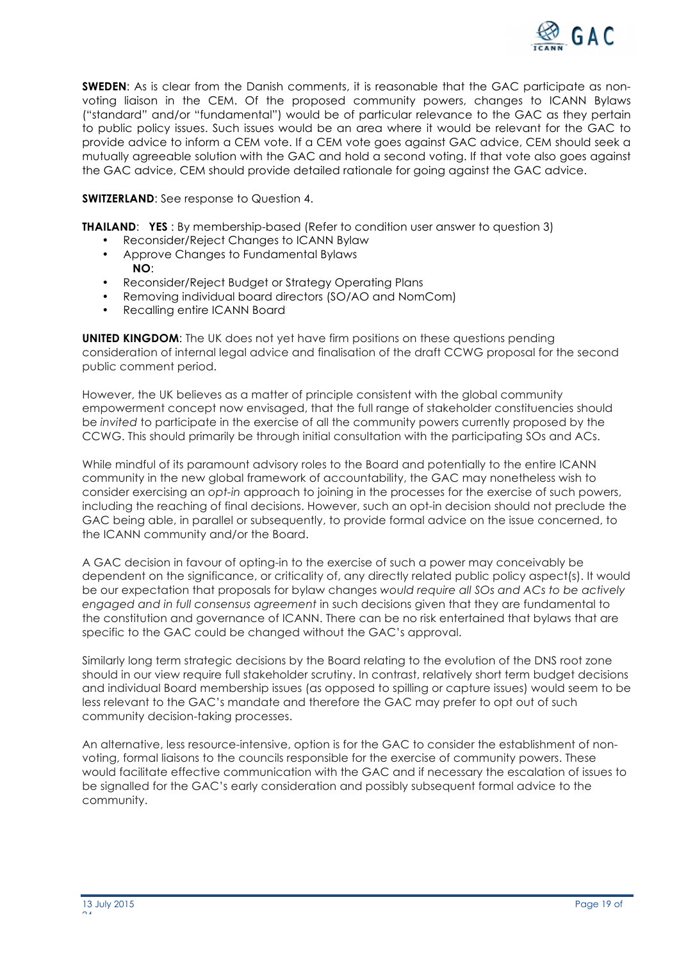

**SWEDEN:** As is clear from the Danish comments, it is reasonable that the GAC participate as nonvoting liaison in the CEM. Of the proposed community powers, changes to ICANN Bylaws ("standard" and/or "fundamental") would be of particular relevance to the GAC as they pertain to public policy issues. Such issues would be an area where it would be relevant for the GAC to provide advice to inform a CEM vote. If a CEM vote goes against GAC advice, CEM should seek a mutually agreeable solution with the GAC and hold a second voting. If that vote also goes against the GAC advice, CEM should provide detailed rationale for going against the GAC advice.

**SWITZERLAND:** See response to Question 4.

**THAILAND: YES**: By membership-based (Refer to condition user answer to question 3)

- Reconsider/Reject Changes to ICANN Bylaw
- Approve Changes to Fundamental Bylaws **NO**:
- Reconsider/Reject Budget or Strategy Operating Plans
- Removing individual board directors (SO/AO and NomCom)
- Recalling entire ICANN Board

**UNITED KINGDOM**: The UK does not yet have firm positions on these questions pending consideration of internal legal advice and finalisation of the draft CCWG proposal for the second public comment period.

However, the UK believes as a matter of principle consistent with the global community empowerment concept now envisaged, that the full range of stakeholder constituencies should be *invited* to participate in the exercise of all the community powers currently proposed by the CCWG. This should primarily be through initial consultation with the participating SOs and ACs.

While mindful of its paramount advisory roles to the Board and potentially to the entire ICANN community in the new global framework of accountability, the GAC may nonetheless wish to consider exercising an *opt-in* approach to joining in the processes for the exercise of such powers, including the reaching of final decisions. However, such an opt-in decision should not preclude the GAC being able, in parallel or subsequently, to provide formal advice on the issue concerned, to the ICANN community and/or the Board.

A GAC decision in favour of opting-in to the exercise of such a power may conceivably be dependent on the significance, or criticality of, any directly related public policy aspect(s). It would be our expectation that proposals for bylaw changes *would require all SOs and ACs to be actively engaged and in full consensus agreement* in such decisions given that they are fundamental to the constitution and governance of ICANN. There can be no risk entertained that bylaws that are specific to the GAC could be changed without the GAC's approval.

Similarly long term strategic decisions by the Board relating to the evolution of the DNS root zone should in our view require full stakeholder scrutiny. In contrast, relatively short term budget decisions and individual Board membership issues (as opposed to spilling or capture issues) would seem to be less relevant to the GAC's mandate and therefore the GAC may prefer to opt out of such community decision-taking processes.

An alternative, less resource-intensive, option is for the GAC to consider the establishment of nonvoting, formal liaisons to the councils responsible for the exercise of community powers. These would facilitate effective communication with the GAC and if necessary the escalation of issues to be signalled for the GAC's early consideration and possibly subsequent formal advice to the community.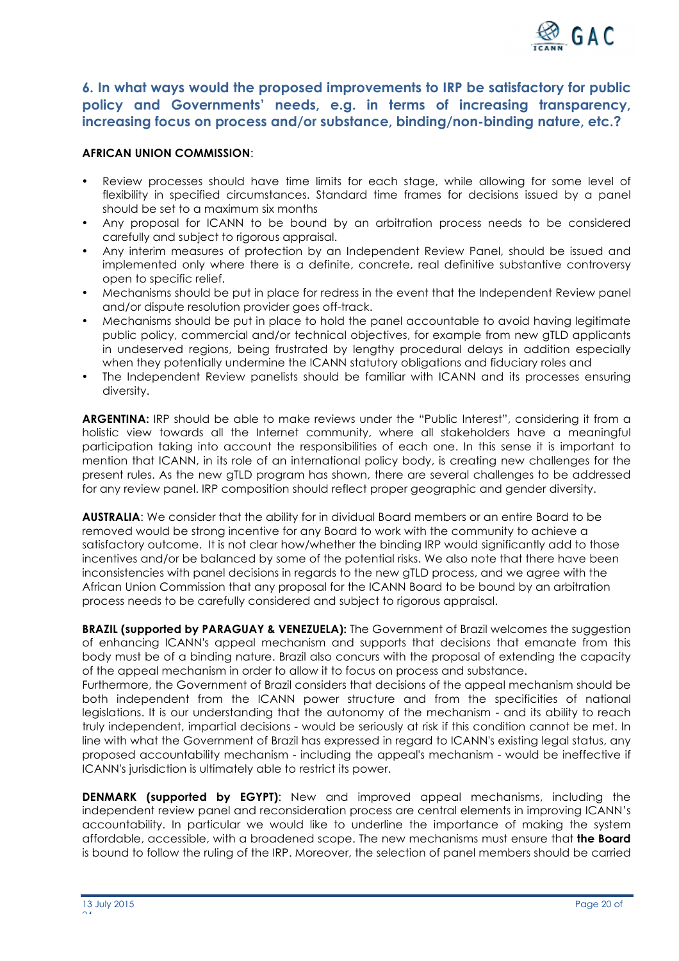

**6. In what ways would the proposed improvements to IRP be satisfactory for public policy and Governments' needs, e.g. in terms of increasing transparency, increasing focus on process and/or substance, binding/non-binding nature, etc.?**

### **AFRICAN UNION COMMISSION**:

- Review processes should have time limits for each stage, while allowing for some level of flexibility in specified circumstances. Standard time frames for decisions issued by a panel should be set to a maximum six months
- Any proposal for ICANN to be bound by an arbitration process needs to be considered carefully and subject to rigorous appraisal.
- Any interim measures of protection by an Independent Review Panel, should be issued and implemented only where there is a definite, concrete, real definitive substantive controversy open to specific relief.
- Mechanisms should be put in place for redress in the event that the Independent Review panel and/or dispute resolution provider goes off-track.
- Mechanisms should be put in place to hold the panel accountable to avoid having legitimate public policy, commercial and/or technical objectives, for example from new gTLD applicants in undeserved regions, being frustrated by lengthy procedural delays in addition especially when they potentially undermine the ICANN statutory obligations and fiduciary roles and
- The Independent Review panelists should be familiar with ICANN and its processes ensuring diversity.

**ARGENTINA:** IRP should be able to make reviews under the "Public Interest", considering it from a holistic view towards all the Internet community, where all stakeholders have a meaningful participation taking into account the responsibilities of each one. In this sense it is important to mention that ICANN, in its role of an international policy body, is creating new challenges for the present rules. As the new gTLD program has shown, there are several challenges to be addressed for any review panel. IRP composition should reflect proper geographic and gender diversity.

**AUSTRALIA**: We consider that the ability for in dividual Board members or an entire Board to be removed would be strong incentive for any Board to work with the community to achieve a satisfactory outcome. It is not clear how/whether the binding IRP would significantly add to those incentives and/or be balanced by some of the potential risks. We also note that there have been inconsistencies with panel decisions in regards to the new gTLD process, and we agree with the African Union Commission that any proposal for the ICANN Board to be bound by an arbitration process needs to be carefully considered and subject to rigorous appraisal.

**BRAZIL (supported by PARAGUAY & VENEZUELA):** The Government of Brazil welcomes the suggestion of enhancing ICANN's appeal mechanism and supports that decisions that emanate from this body must be of a binding nature. Brazil also concurs with the proposal of extending the capacity of the appeal mechanism in order to allow it to focus on process and substance.

Furthermore, the Government of Brazil considers that decisions of the appeal mechanism should be both independent from the ICANN power structure and from the specificities of national legislations. It is our understanding that the autonomy of the mechanism - and its ability to reach truly independent, impartial decisions - would be seriously at risk if this condition cannot be met. In line with what the Government of Brazil has expressed in regard to ICANN's existing legal status, any proposed accountability mechanism - including the appeal's mechanism - would be ineffective if ICANN's jurisdiction is ultimately able to restrict its power.

**DENMARK (supported by EGYPT)**: New and improved appeal mechanisms, including the independent review panel and reconsideration process are central elements in improving ICANN's accountability. In particular we would like to underline the importance of making the system affordable, accessible, with a broadened scope. The new mechanisms must ensure that **the Board** is bound to follow the ruling of the IRP. Moreover, the selection of panel members should be carried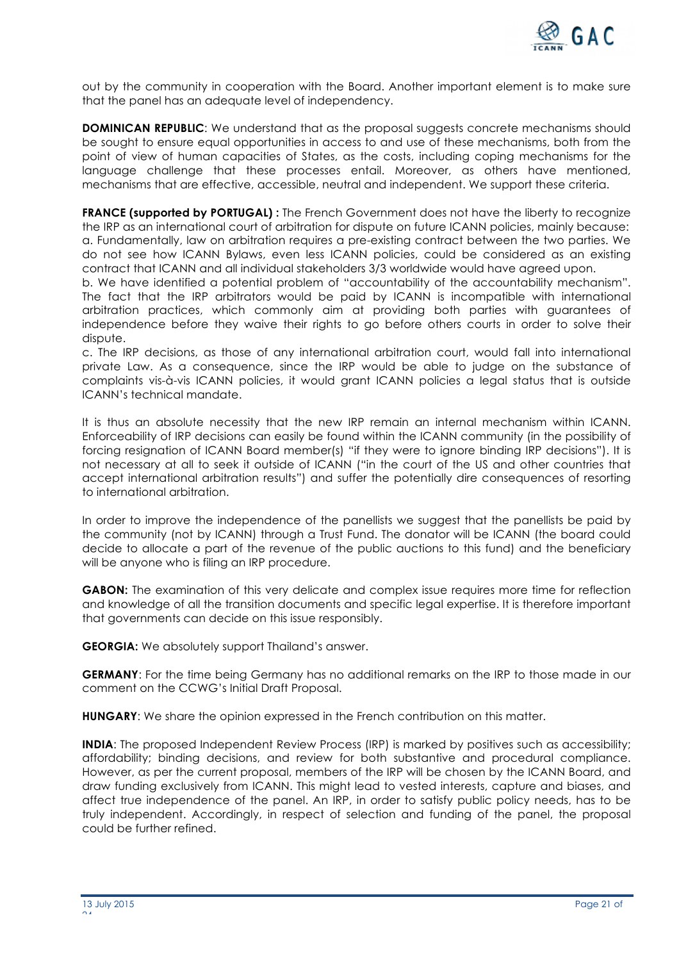

out by the community in cooperation with the Board. Another important element is to make sure that the panel has an adequate level of independency.

**DOMINICAN REPUBLIC:** We understand that as the proposal suggests concrete mechanisms should be sought to ensure equal opportunities in access to and use of these mechanisms, both from the point of view of human capacities of States, as the costs, including coping mechanisms for the language challenge that these processes entail. Moreover, as others have mentioned, mechanisms that are effective, accessible, neutral and independent. We support these criteria.

**FRANCE (supported by PORTUGAL) :** The French Government does not have the liberty to recognize the IRP as an international court of arbitration for dispute on future ICANN policies, mainly because: a. Fundamentally, law on arbitration requires a pre-existing contract between the two parties. We do not see how ICANN Bylaws, even less ICANN policies, could be considered as an existing contract that ICANN and all individual stakeholders 3/3 worldwide would have agreed upon.

b. We have identified a potential problem of "accountability of the accountability mechanism". The fact that the IRP arbitrators would be paid by ICANN is incompatible with international arbitration practices, which commonly aim at providing both parties with guarantees of independence before they waive their rights to go before others courts in order to solve their dispute.

c. The IRP decisions, as those of any international arbitration court, would fall into international private Law. As a consequence, since the IRP would be able to judge on the substance of complaints vis-à-vis ICANN policies, it would grant ICANN policies a legal status that is outside ICANN's technical mandate.

It is thus an absolute necessity that the new IRP remain an internal mechanism within ICANN. Enforceability of IRP decisions can easily be found within the ICANN community (in the possibility of forcing resignation of ICANN Board member(s) "if they were to ignore binding IRP decisions"). It is not necessary at all to seek it outside of ICANN ("in the court of the US and other countries that accept international arbitration results") and suffer the potentially dire consequences of resorting to international arbitration.

In order to improve the independence of the panellists we suggest that the panellists be paid by the community (not by ICANN) through a Trust Fund. The donator will be ICANN (the board could decide to allocate a part of the revenue of the public auctions to this fund) and the beneficiary will be anyone who is filing an IRP procedure.

**GABON:** The examination of this very delicate and complex issue requires more time for reflection and knowledge of all the transition documents and specific legal expertise. It is therefore important that governments can decide on this issue responsibly.

**GEORGIA:** We absolutely support Thailand's answer.

**GERMANY:** For the time being Germany has no additional remarks on the IRP to those made in our comment on the CCWG's Initial Draft Proposal.

**HUNGARY**: We share the opinion expressed in the French contribution on this matter.

**INDIA:** The proposed Independent Review Process (IRP) is marked by positives such as accessibility; affordability; binding decisions, and review for both substantive and procedural compliance. However, as per the current proposal, members of the IRP will be chosen by the ICANN Board, and draw funding exclusively from ICANN. This might lead to vested interests, capture and biases, and affect true independence of the panel. An IRP, in order to satisfy public policy needs, has to be truly independent. Accordingly, in respect of selection and funding of the panel, the proposal could be further refined.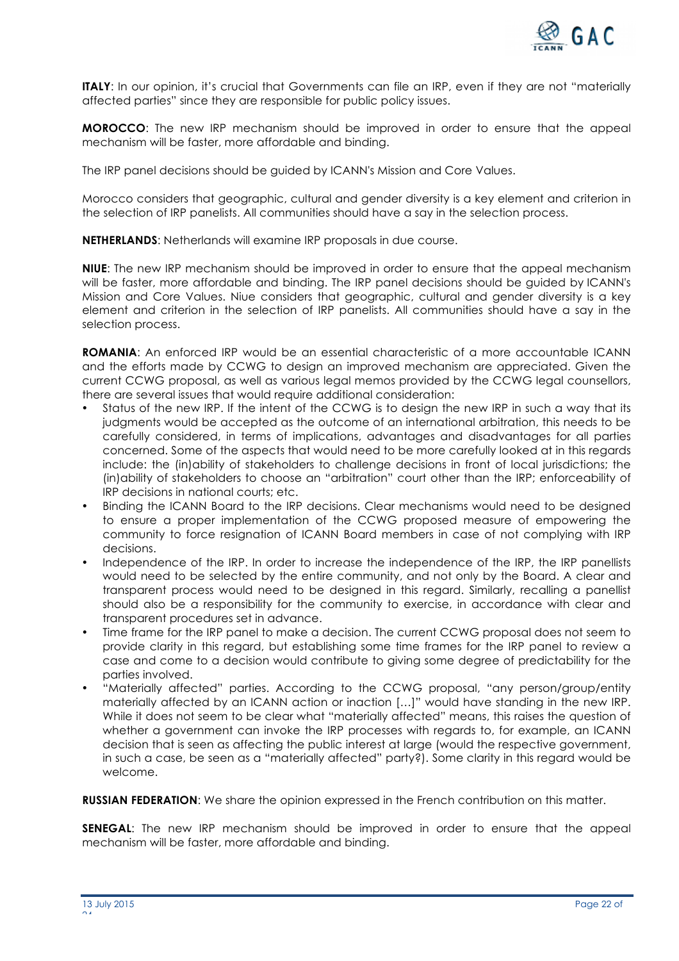

**ITALY:** In our opinion, it's crucial that Governments can file an IRP, even if they are not "materially affected parties" since they are responsible for public policy issues.

**MOROCCO**: The new IRP mechanism should be improved in order to ensure that the appeal mechanism will be faster, more affordable and binding.

The IRP panel decisions should be guided by ICANN's Mission and Core Values.

Morocco considers that geographic, cultural and gender diversity is a key element and criterion in the selection of IRP panelists. All communities should have a say in the selection process.

**NETHERLANDS**: Netherlands will examine IRP proposals in due course.

**NIUE**: The new IRP mechanism should be improved in order to ensure that the appeal mechanism will be faster, more affordable and binding. The IRP panel decisions should be guided by ICANN's Mission and Core Values. Niue considers that geographic, cultural and gender diversity is a key element and criterion in the selection of IRP panelists. All communities should have a say in the selection process.

**ROMANIA**: An enforced IRP would be an essential characteristic of a more accountable ICANN and the efforts made by CCWG to design an improved mechanism are appreciated. Given the current CCWG proposal, as well as various legal memos provided by the CCWG legal counsellors, there are several issues that would require additional consideration:

- Status of the new IRP. If the intent of the CCWG is to design the new IRP in such a way that its judgments would be accepted as the outcome of an international arbitration, this needs to be carefully considered, in terms of implications, advantages and disadvantages for all parties concerned. Some of the aspects that would need to be more carefully looked at in this regards include: the (in)ability of stakeholders to challenge decisions in front of local jurisdictions; the (in)ability of stakeholders to choose an "arbitration" court other than the IRP; enforceability of IRP decisions in national courts; etc.
- Binding the ICANN Board to the IRP decisions. Clear mechanisms would need to be designed to ensure a proper implementation of the CCWG proposed measure of empowering the community to force resignation of ICANN Board members in case of not complying with IRP decisions.
- Independence of the IRP. In order to increase the independence of the IRP, the IRP panellists would need to be selected by the entire community, and not only by the Board. A clear and transparent process would need to be designed in this regard. Similarly, recalling a panellist should also be a responsibility for the community to exercise, in accordance with clear and transparent procedures set in advance.
- Time frame for the IRP panel to make a decision. The current CCWG proposal does not seem to provide clarity in this regard, but establishing some time frames for the IRP panel to review a case and come to a decision would contribute to giving some degree of predictability for the parties involved.
- "Materially affected" parties. According to the CCWG proposal, "any person/group/entity materially affected by an ICANN action or inaction […]" would have standing in the new IRP. While it does not seem to be clear what "materially affected" means, this raises the question of whether a government can invoke the IRP processes with regards to, for example, an ICANN decision that is seen as affecting the public interest at large (would the respective government, in such a case, be seen as a "materially affected" party?). Some clarity in this regard would be welcome.

**RUSSIAN FEDERATION**: We share the opinion expressed in the French contribution on this matter.

**SENEGAL**: The new IRP mechanism should be improved in order to ensure that the appeal mechanism will be faster, more affordable and binding.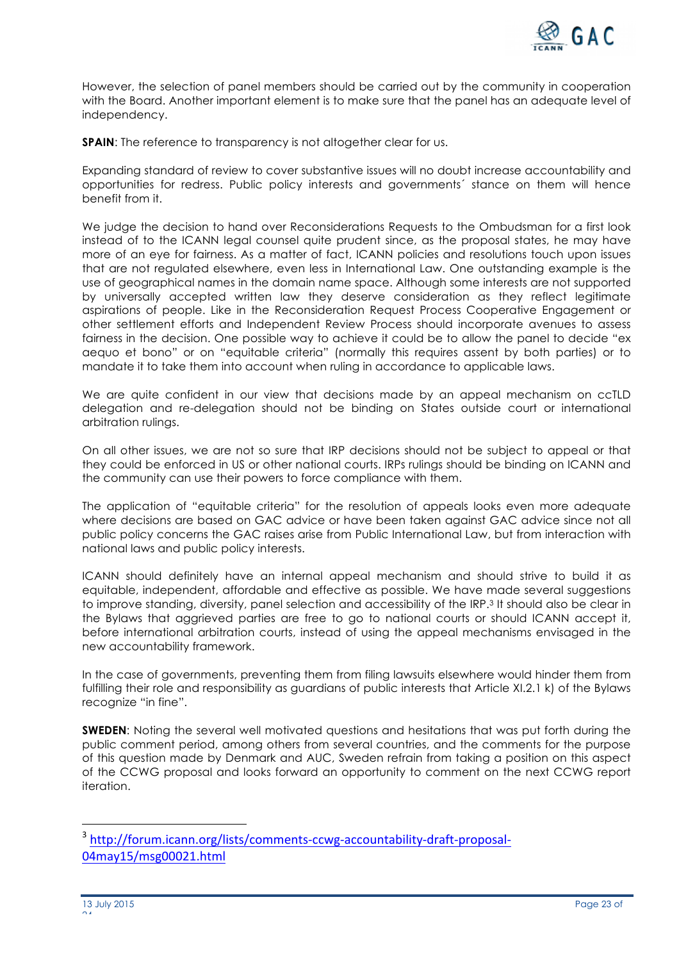

However, the selection of panel members should be carried out by the community in cooperation with the Board. Another important element is to make sure that the panel has an adequate level of independency.

**SPAIN:** The reference to transparency is not altogether clear for us.

Expanding standard of review to cover substantive issues will no doubt increase accountability and opportunities for redress. Public policy interests and governments´ stance on them will hence benefit from it.

We judge the decision to hand over Reconsiderations Requests to the Ombudsman for a first look instead of to the ICANN legal counsel quite prudent since, as the proposal states, he may have more of an eye for fairness. As a matter of fact, ICANN policies and resolutions touch upon issues that are not regulated elsewhere, even less in International Law. One outstanding example is the use of geographical names in the domain name space. Although some interests are not supported by universally accepted written law they deserve consideration as they reflect legitimate aspirations of people. Like in the Reconsideration Request Process Cooperative Engagement or other settlement efforts and Independent Review Process should incorporate avenues to assess fairness in the decision. One possible way to achieve it could be to allow the panel to decide "ex aequo et bono" or on "equitable criteria" (normally this requires assent by both parties) or to mandate it to take them into account when ruling in accordance to applicable laws.

We are quite confident in our view that decisions made by an appeal mechanism on ccTLD delegation and re-delegation should not be binding on States outside court or international arbitration rulings.

On all other issues, we are not so sure that IRP decisions should not be subject to appeal or that they could be enforced in US or other national courts. IRPs rulings should be binding on ICANN and the community can use their powers to force compliance with them.

The application of "equitable criteria" for the resolution of appeals looks even more adequate where decisions are based on GAC advice or have been taken against GAC advice since not all public policy concerns the GAC raises arise from Public International Law, but from interaction with national laws and public policy interests.

ICANN should definitely have an internal appeal mechanism and should strive to build it as equitable, independent, affordable and effective as possible. We have made several suggestions to improve standing, diversity, panel selection and accessibility of the IRP.3 It should also be clear in the Bylaws that aggrieved parties are free to go to national courts or should ICANN accept it, before international arbitration courts, instead of using the appeal mechanisms envisaged in the new accountability framework.

In the case of governments, preventing them from filing lawsuits elsewhere would hinder them from fulfilling their role and responsibility as guardians of public interests that Article XI.2.1 k) of the Bylaws recognize "in fine".

**SWEDEN**: Noting the several well motivated questions and hesitations that was put forth during the public comment period, among others from several countries, and the comments for the purpose of this question made by Denmark and AUC, Sweden refrain from taking a position on this aspect of the CCWG proposal and looks forward an opportunity to comment on the next CCWG report iteration.

 

<sup>3</sup> http://forum.icann.org/lists/comments-ccwg-accountability-draft-proposal-04may15/msg00021.html